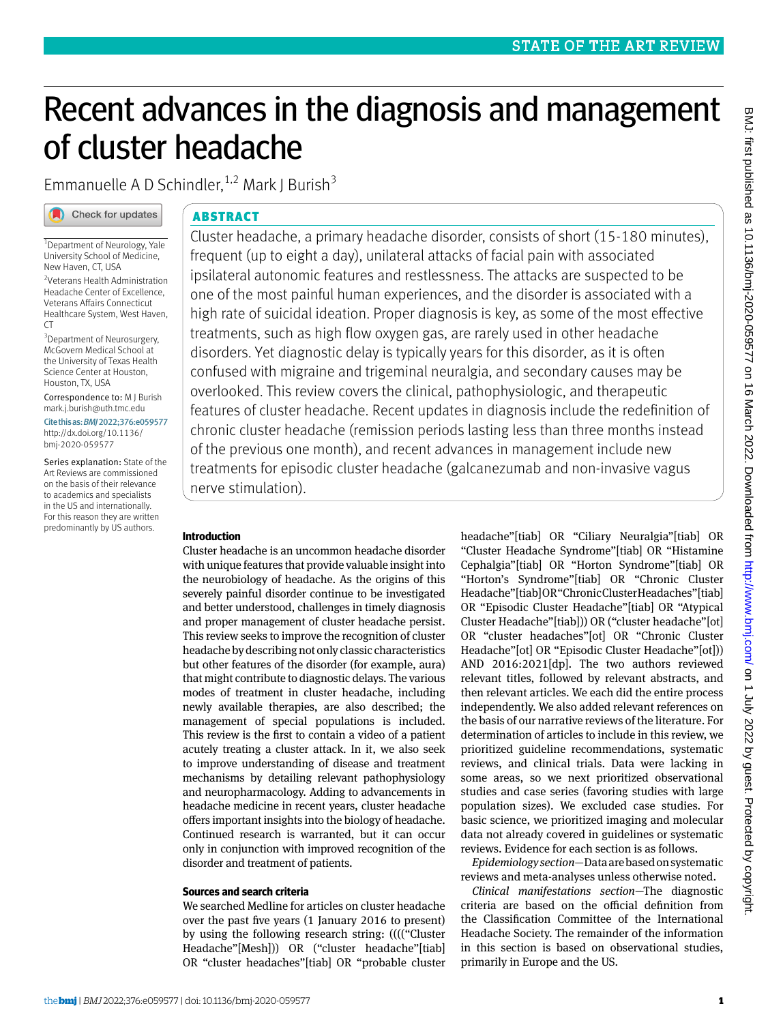# Recent advances in the diagnosis and management of cluster headache

Emmanuelle A D Schindler,  $1,2$  Mark J Burish<sup>3</sup>

# Check for updates

# ABSTRACT

<sup>1</sup>Department of Neurology, Yale University School of Medicine, New Haven, CT, USA

2 Veterans Health Administration Headache Center of Excellence, Veterans Affairs Connecticut Healthcare System, West Haven, CT

<sup>3</sup> Department of Neurosurgery, McGovern Medical School at the University of Texas Health Science Center at Houston, Houston, TX, USA

Correspondence to: M J Burish [mark.j.burish@uth.tmc.edu](mailto:mark.j.burish@uth.tmc.edu)

Cite this as: *BMJ* 2022;376:e059577 [http://dx.doi.org/10.1136/](http://dx.doi.org/10.1136/bmj<2011>2020<2011>059577) [bmj‑2020‑059577](http://dx.doi.org/10.1136/bmj<2011>2020<2011>059577)

Series explanation: State of the Art Reviews are commissioned on the basis of their relevance to academics and specialists in the US and internationally. For this reason they are written predominantly by US authors.

Cluster headache, a primary headache disorder, consists of short (15-180 minutes), frequent (up to eight a day), unilateral attacks of facial pain with associated ipsilateral autonomic features and restlessness. The attacks are suspected to be one of the most painful human experiences, and the disorder is associated with a high rate of suicidal ideation. Proper diagnosis is key, as some of the most effective treatments, such as high flow oxygen gas, are rarely used in other headache disorders. Yet diagnostic delay is typically years for this disorder, as it is often confused with migraine and trigeminal neuralgia, and secondary causes may be overlooked. This review covers the clinical, pathophysiologic, and therapeutic features of cluster headache. Recent updates in diagnosis include the redefinition of chronic cluster headache (remission periods lasting less than three months instead of the previous one month), and recent advances in management include new treatments for episodic cluster headache (galcanezumab and non-invasive vagus nerve stimulation).

# **Introduction**

Cluster headache is an uncommon headache disorder with unique features that provide valuable insight into the neurobiology of headache. As the origins of this severely painful disorder continue to be investigated and better understood, challenges in timely diagnosis and proper management of cluster headache persist. This review seeks to improve the recognition of cluster headache by describing not only classic characteristics but other features of the disorder (for example, aura) that might contribute to diagnostic delays. The various modes of treatment in cluster headache, including newly available therapies, are also described; the management of special populations is included. This review is the first to contain a video of a patient acutely treating a cluster attack. In it, we also seek to improve understanding of disease and treatment mechanisms by detailing relevant pathophysiology and neuropharmacology. Adding to advancements in headache medicine in recent years, cluster headache offers important insights into the biology of headache. Continued research is warranted, but it can occur only in conjunction with improved recognition of the disorder and treatment of patients.

# **Sources and search criteria**

We searched Medline for articles on cluster headache over the past five years (1 January 2016 to present) by using the following research string: (((("Cluster Headache"[Mesh])) OR ("cluster headache"[tiab] OR "cluster headaches"[tiab] OR "probable cluster

headache"[tiab] OR "Ciliary Neuralgia"[tiab] OR "Cluster Headache Syndrome"[tiab] OR "Histamine Cephalgia"[tiab] OR "Horton Syndrome"[tiab] OR "Horton's Syndrome"[tiab] OR "Chronic Cluster Headache"[tiab] OR "Chronic Cluster Headaches"[tiab] OR "Episodic Cluster Headache"[tiab] OR "Atypical Cluster Headache"[tiab])) OR ("cluster headache"[ot] OR "cluster headaches"[ot] OR "Chronic Cluster Headache"[ot] OR "Episodic Cluster Headache"[ot])) AND 2016:2021[dp]. The two authors reviewed relevant titles, followed by relevant abstracts, and then relevant articles. We each did the entire process independently. We also added relevant references on the basis of our narrative reviews of the literature. For determination of articles to include in this review, we prioritized guideline recommendations, systematic reviews, and clinical trials. Data were lacking in some areas, so we next prioritized observational studies and case series (favoring studies with large population sizes). We excluded case studies. For basic science, we prioritized imaging and molecular data not already covered in guidelines or systematic reviews. Evidence for each section is as follows.

*Epidemiology section*—Data are based on systematic reviews and meta-analyses unless otherwise noted.

*Clinical manifestations section*—The diagnostic criteria are based on the official definition from the Classification Committee of the International Headache Society. The remainder of the information in this section is based on observational studies, primarily in Europe and the US.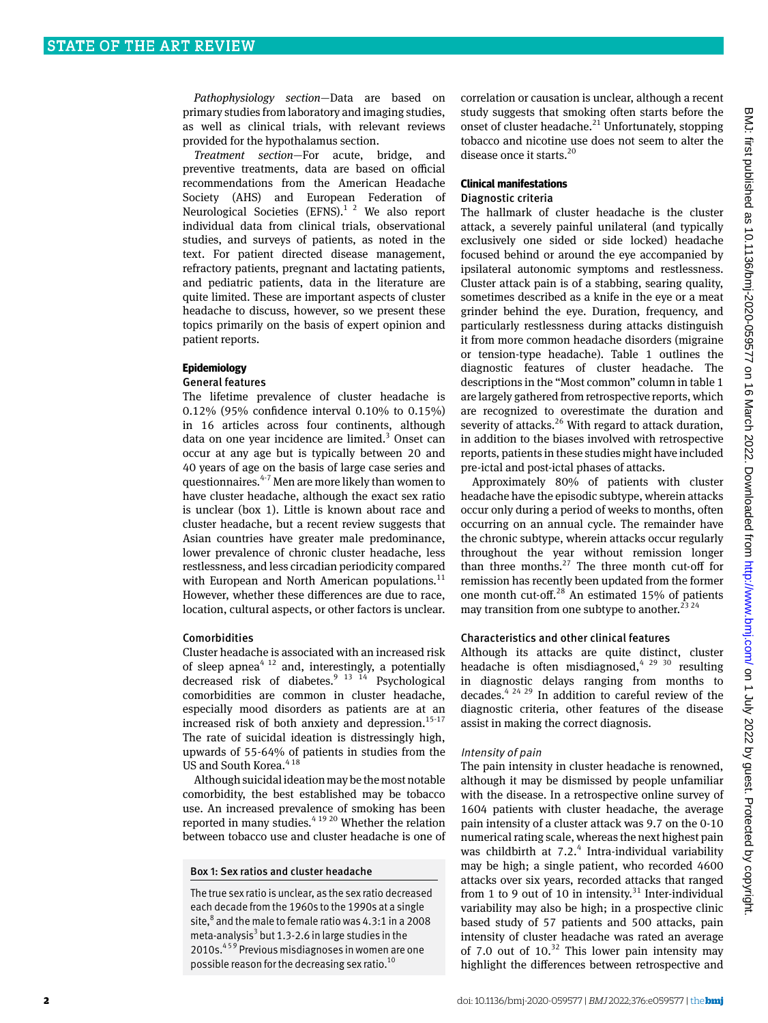*Pathophysiology section*—Data are based on primary studies from laboratory and imaging studies, as well as clinical trials, with relevant reviews provided for the hypothalamus section.

*Treatment section*—For acute, bridge, and preventive treatments, data are based on official recommendations from the American Headache Society (AHS) and European Federation of Neurological Societies  $(EFNS)<sup>1</sup>$ <sup>2</sup> We also report individual data from clinical trials, observational studies, and surveys of patients, as noted in the text. For patient directed disease management, refractory patients, pregnant and lactating patients, and pediatric patients, data in the literature are quite limited. These are important aspects of cluster headache to discuss, however, so we present these topics primarily on the basis of expert opinion and patient reports.

## **Epidemiology**

## General features

The lifetime prevalence of cluster headache is 0.12% (95% confidence interval 0.10% to 0.15%) in 16 articles across four continents, although data on one year incidence are limited.<sup>3</sup> Onset can occur at any age but is typically between 20 and 40 years of age on the basis of large case series and questionnaires. $4-7$  Men are more likely than women to have cluster headache, although the exact sex ratio is unclear (box 1). Little is known about race and cluster headache, but a recent review suggests that Asian countries have greater male predominance, lower prevalence of chronic cluster headache, less restlessness, and less circadian periodicity compared with European and North American populations.<sup>11</sup> However, whether these differences are due to race, location, cultural aspects, or other factors is unclear.

#### Comorbidities

Cluster headache is associated with an increased risk of sleep apnea<sup>4 12</sup> and, interestingly, a potentially decreased risk of diabetes.<sup>9 13 14</sup> Psychological comorbidities are common in cluster headache, especially mood disorders as patients are at an increased risk of both anxiety and depression. $15-17$ The rate of suicidal ideation is distressingly high, upwards of 55-64% of patients in studies from the US and South Korea.<sup>418</sup>

Although suicidal ideation may be the most notable comorbidity, the best established may be tobacco use. An increased prevalence of smoking has been reported in many studies.<sup>4 19 20</sup> Whether the relation between tobacco use and cluster headache is one of

#### Box 1: Sex ratios and cluster headache

The true sex ratio is unclear, as the sex ratio decreased each decade from the 1960s to the 1990s at a single site, $^8$  and the male to female ratio was 4.3:1 in a 2008 meta-analysis<sup>3</sup> but 1.3-2.6 in large studies in the 2010s.<sup>459</sup> Previous misdiagnoses in women are one possible reason for the decreasing sex ratio.10

correlation or causation is unclear, although a recent study suggests that smoking often starts before the onset of cluster headache. $^{21}$  Unfortunately, stopping tobacco and nicotine use does not seem to alter the disease once it starts.<sup>20</sup>

## **Clinical manifestations** Diagnostic criteria

The hallmark of cluster headache is the cluster attack, a severely painful unilateral (and typically exclusively one sided or side locked) headache focused behind or around the eye accompanied by ipsilateral autonomic symptoms and restlessness. Cluster attack pain is of a stabbing, searing quality, sometimes described as a knife in the eye or a meat grinder behind the eye. Duration, frequency, and particularly restlessness during attacks distinguish it from more common headache disorders (migraine or tension-type headache). Table 1 outlines the diagnostic features of cluster headache. The descriptions in the "Most common" column in table 1 are largely gathered from retrospective reports, which are recognized to overestimate the duration and severity of attacks.<sup>26</sup> With regard to attack duration, in addition to the biases involved with retrospective reports, patients in these studies might have included pre-ictal and post-ictal phases of attacks.

Approximately 80% of patients with cluster headache have the episodic subtype, wherein attacks occur only during a period of weeks to months, often occurring on an annual cycle. The remainder have the chronic subtype, wherein attacks occur regularly throughout the year without remission longer than three months.<sup>27</sup> The three month cut-off for remission has recently been updated from the former one month cut-off.28 An estimated 15% of patients may transition from one subtype to another.<sup>23 24</sup>

## Characteristics and other clinical features

Although its attacks are quite distinct, cluster headache is often misdiagnosed,  $4^{29}$  30 resulting in diagnostic delays ranging from months to decades.<sup>4 24 29</sup> In addition to careful review of the diagnostic criteria, other features of the disease assist in making the correct diagnosis.

## Intensity of pain

The pain intensity in cluster headache is renowned, although it may be dismissed by people unfamiliar with the disease. In a retrospective online survey of 1604 patients with cluster headache, the average pain intensity of a cluster attack was 9.7 on the 0-10 numerical rating scale, whereas the next highest pain was childbirth at  $7.2$ .<sup>4</sup> Intra-individual variability may be high; a single patient, who recorded 4600 attacks over six years, recorded attacks that ranged from 1 to 9 out of 10 in intensity. $31$  Inter-individual variability may also be high; in a prospective clinic based study of 57 patients and 500 attacks, pain intensity of cluster headache was rated an average of 7.0 out of  $10^{32}$  This lower pain intensity may highlight the differences between retrospective and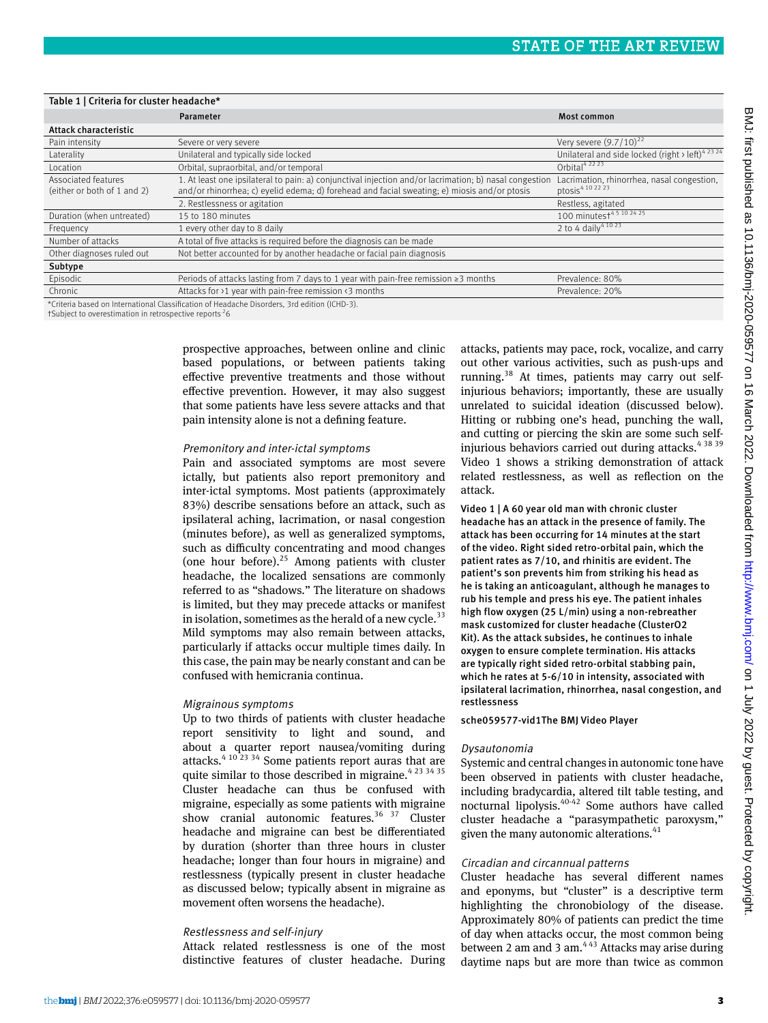| Table 1   Criteria for cluster headache*           |                                                                                                                                                                                                        |                                                                            |
|----------------------------------------------------|--------------------------------------------------------------------------------------------------------------------------------------------------------------------------------------------------------|----------------------------------------------------------------------------|
|                                                    | Parameter                                                                                                                                                                                              | <b>Most common</b>                                                         |
| Attack characteristic                              |                                                                                                                                                                                                        |                                                                            |
| Pain intensity                                     | Severe or very severe                                                                                                                                                                                  | Very severe $(9.7/10)^{22}$                                                |
| Laterality                                         | Unilateral and typically side locked                                                                                                                                                                   | Unilateral and side locked (right > left) <sup>4 23 24</sup>               |
| Location                                           | Orbital, supraorbital, and/or temporal                                                                                                                                                                 | Orbital <sup>42223</sup>                                                   |
| Associated features<br>(either or both of 1 and 2) | 1. At least one ipsilateral to pain: a) conjunctival injection and/or lacrimation; b) nasal congestion<br>and/or rhinorrhea; c) evelid edema; d) forehead and facial sweating; e) miosis and/or ptosis | Lacrimation, rhinorrhea, nasal congestion,<br>ptosis <sup>4</sup> 10 22 23 |
|                                                    | 2. Restlessness or agitation                                                                                                                                                                           | Restless, agitated                                                         |
| Duration (when untreated)                          | 15 to 180 minutes                                                                                                                                                                                      | 100 minutest <sup>45</sup> 102425                                          |
| Frequency                                          | Levery other day to 8 daily                                                                                                                                                                            | 2 to 4 daily <sup>4 10 23</sup>                                            |
| Number of attacks                                  | A total of five attacks is required before the diagnosis can be made                                                                                                                                   |                                                                            |
| Other diagnoses ruled out                          | Not better accounted for by another headache or facial pain diagnosis                                                                                                                                  |                                                                            |
| Subtype                                            |                                                                                                                                                                                                        |                                                                            |
| Episodic                                           | Periods of attacks lasting from 7 days to 1 year with pain-free remission $\geq 3$ months                                                                                                              | Prevalence: 80%                                                            |
| Chronic                                            | Attacks for >1 year with pain-free remission <3 months                                                                                                                                                 | Prevalence: 20%                                                            |
|                                                    | Contrade legacional de la capital de la capital de la capital de la capital de la capital de la capital de la c                                                                                        |                                                                            |

. Criteria based on International Classification of Headache Disorders, 3rd edition (ICHD-3).

†Subject to overestimation in retrospective reports.26

prospective approaches, between online and clinic based populations, or between patients taking effective preventive treatments and those without effective prevention. However, it may also suggest that some patients have less severe attacks and that pain intensity alone is not a defining feature.

## Premonitory and inter-ictal symptoms

Pain and associated symptoms are most severe ictally, but patients also report premonitory and inter-ictal symptoms. Most patients (approximately 83%) describe sensations before an attack, such as ipsilateral aching, lacrimation, or nasal congestion (minutes before), as well as generalized symptoms, such as difficulty concentrating and mood changes (one hour before). $25$  Among patients with cluster headache, the localized sensations are commonly referred to as "shadows." The literature on shadows is limited, but they may precede attacks or manifest in isolation, sometimes as the herald of a new cycle.<sup>33</sup> Mild symptoms may also remain between attacks, particularly if attacks occur multiple times daily. In this case, the pain may be nearly constant and can be confused with hemicrania continua.

#### Migrainous symptoms

Up to two thirds of patients with cluster headache report sensitivity to light and sound, and about a quarter report nausea/vomiting during attacks.4 10 23 34 Some patients report auras that are quite similar to those described in migraine. $4^{23}$  34 35 Cluster headache can thus be confused with migraine, especially as some patients with migraine show cranial autonomic features. $36 \overline{37}$  Cluster headache and migraine can best be differentiated by duration (shorter than three hours in cluster headache; longer than four hours in migraine) and restlessness (typically present in cluster headache as discussed below; typically absent in migraine as movement often worsens the headache).

#### Restlessness and self-injury

Attack related restlessness is one of the most distinctive features of cluster headache. During attacks, patients may pace, rock, vocalize, and carry out other various activities, such as push-ups and running.38 At times, patients may carry out selfinjurious behaviors; importantly, these are usually unrelated to suicidal ideation (discussed below). Hitting or rubbing one's head, punching the wall, and cutting or piercing the skin are some such selfinjurious behaviors carried out during attacks.<sup>4 38 39</sup> Video 1 shows a striking demonstration of attack related restlessness, as well as reflection on the attack.

## Video 1 | A 60 year old man with chronic cluster

headache has an attack in the presence of family. The attack has been occurring for 14 minutes at the start of the video. Right sided retro-orbital pain, which the patient rates as 7/10, and rhinitis are evident. The patient's son prevents him from striking his head as he is taking an anticoagulant, although he manages to rub his temple and press his eye. The patient inhales high flow oxygen (25 L/min) using a non-rebreather mask customized for cluster headache (ClusterO2 Kit). As the attack subsides, he continues to inhale oxygen to ensure complete termination. His attacks are typically right sided retro-orbital stabbing pain, which he rates at 5-6/10 in intensity, associated with ipsilateral lacrimation, rhinorrhea, nasal congestion, and restlessness

sche059577-vid1The BMJ Video Player

#### Dysautonomia

Systemic and central changes in autonomic tone have been observed in patients with cluster headache, including bradycardia, altered tilt table testing, and nocturnal lipolysis.40-42 Some authors have called cluster headache a "parasympathetic paroxysm," given the many autonomic alterations.<sup>4</sup>

## Circadian and circannual patterns

Cluster headache has several different names and eponyms, but "cluster" is a descriptive term highlighting the chronobiology of the disease. Approximately 80% of patients can predict the time of day when attacks occur, the most common being between 2 am and 3 am.<sup>443</sup> Attacks may arise during daytime naps but are more than twice as common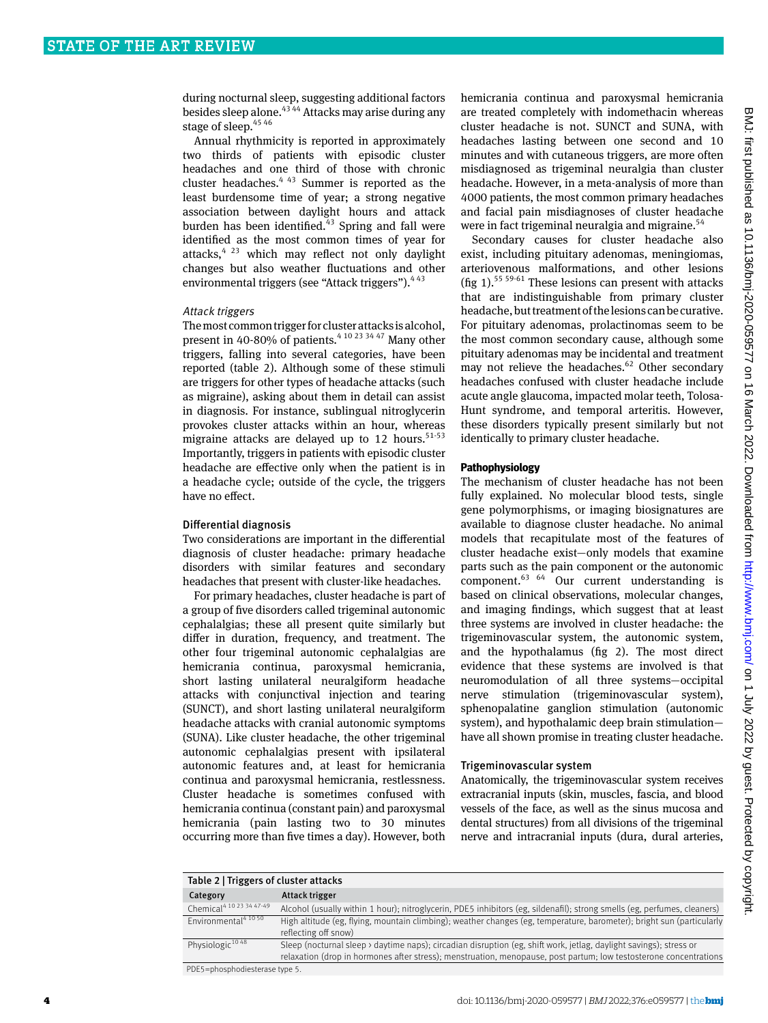during nocturnal sleep, suggesting additional factors besides sleep alone.43 44 Attacks may arise during any stage of sleep.<sup>45 46</sup>

Annual rhythmicity is reported in approximately two thirds of patients with episodic cluster headaches and one third of those with chronic cluster headaches.<sup>4 43</sup> Summer is reported as the least burdensome time of year; a strong negative association between daylight hours and attack burden has been identified. $43$  Spring and fall were identified as the most common times of year for attacks, $4^{23}$  which may reflect not only daylight changes but also weather fluctuations and other environmental triggers (see "Attack triggers").  $443$ 

## Attack triggers

The most common trigger for cluster attacks is alcohol, present in 40-80% of patients.<sup>4 10 23 34 47</sup> Many other triggers, falling into several categories, have been reported (table 2). Although some of these stimuli are triggers for other types of headache attacks (such as migraine), asking about them in detail can assist in diagnosis. For instance, sublingual nitroglycerin provokes cluster attacks within an hour, whereas migraine attacks are delayed up to 12 hours. $51-53$ Importantly, triggers in patients with episodic cluster headache are effective only when the patient is in a headache cycle; outside of the cycle, the triggers have no effect.

## Differential diagnosis

Two considerations are important in the differential diagnosis of cluster headache: primary headache disorders with similar features and secondary headaches that present with cluster-like headaches.

For primary headaches, cluster headache is part of a group of five disorders called trigeminal autonomic cephalalgias; these all present quite similarly but differ in duration, frequency, and treatment. The other four trigeminal autonomic cephalalgias are hemicrania continua, paroxysmal hemicrania, short lasting unilateral neuralgiform headache attacks with conjunctival injection and tearing (SUNCT), and short lasting unilateral neuralgiform headache attacks with cranial autonomic symptoms (SUNA). Like cluster headache, the other trigeminal autonomic cephalalgias present with ipsilateral autonomic features and, at least for hemicrania continua and paroxysmal hemicrania, restlessness. Cluster headache is sometimes confused with hemicrania continua (constant pain) and paroxysmal hemicrania (pain lasting two to 30 minutes occurring more than five times a day). However, both

hemicrania continua and paroxysmal hemicrania are treated completely with indomethacin whereas cluster headache is not. SUNCT and SUNA, with headaches lasting between one second and 10 minutes and with cutaneous triggers, are more often misdiagnosed as trigeminal neuralgia than cluster headache. However, in a meta-analysis of more than 4000 patients, the most common primary headaches and facial pain misdiagnoses of cluster headache were in fact trigeminal neuralgia and migraine.<sup>54</sup>

Secondary causes for cluster headache also exist, including pituitary adenomas, meningiomas, arteriovenous malformations, and other lesions (fig 1).<sup>55 59-61</sup> These lesions can present with attacks that are indistinguishable from primary cluster headache, but treatment of the lesions can be curative. For pituitary adenomas, prolactinomas seem to be the most common secondary cause, although some pituitary adenomas may be incidental and treatment may not relieve the headaches. $62$  Other secondary headaches confused with cluster headache include acute angle glaucoma, impacted molar teeth, Tolosa-Hunt syndrome, and temporal arteritis. However, these disorders typically present similarly but not identically to primary cluster headache.

#### **Pathophysiology**

The mechanism of cluster headache has not been fully explained. No molecular blood tests, single gene polymorphisms, or imaging biosignatures are available to diagnose cluster headache. No animal models that recapitulate most of the features of cluster headache exist—only models that examine parts such as the pain component or the autonomic component.63 64 Our current understanding is based on clinical observations, molecular changes, and imaging findings, which suggest that at least three systems are involved in cluster headache: the trigeminovascular system, the autonomic system, and the hypothalamus (fig 2). The most direct evidence that these systems are involved is that neuromodulation of all three systems—occipital nerve stimulation (trigeminovascular system), sphenopalatine ganglion stimulation (autonomic system), and hypothalamic deep brain stimulation have all shown promise in treating cluster headache.

## Trigeminovascular system

Anatomically, the trigeminovascular system receives extracranial inputs (skin, muscles, fascia, and blood vessels of the face, as well as the sinus mucosa and dental structures) from all divisions of the trigeminal nerve and intracranial inputs (dura, dural arteries,

| Table 2   Triggers of cluster attacks |                                                                                                                                                                                                                                         |
|---------------------------------------|-----------------------------------------------------------------------------------------------------------------------------------------------------------------------------------------------------------------------------------------|
| Category                              | Attack trigger                                                                                                                                                                                                                          |
| Chemical <sup>4 10 23 34 47-49</sup>  | Alcohol (usually within 1 hour); nitroglycerin, PDE5 inhibitors (eg, sildenafil); strong smells (eg, perfumes, cleaners)                                                                                                                |
| Environmental <sup>4 10 50</sup>      | High altitude (eg, flying, mountain climbing); weather changes (eg, temperature, barometer); bright sun (particularly<br>reflecting off snow)                                                                                           |
| Physiologic <sup>1048</sup>           | Sleep (nocturnal sleep > daytime naps); circadian disruption (eg, shift work, jetlag, daylight savings); stress or<br>relaxation (drop in hormones after stress); menstruation, menopause, post partum; low testosterone concentrations |
|                                       |                                                                                                                                                                                                                                         |

BMJ: first published as 10.1136/bmj-2020-059577 on 16 March 2022. Downloaded from http://www.bmj.com/ on 1 July 2022 by guest. Protected by copyright BMJ: first published as 10.1136/bmj-2020-059577 on 16 March 2022. Downloaded from <http://www.bmj.com/> on 1 July 2022 by guest. Protected by copyright.

PDE5=phosphodiesterase type 5.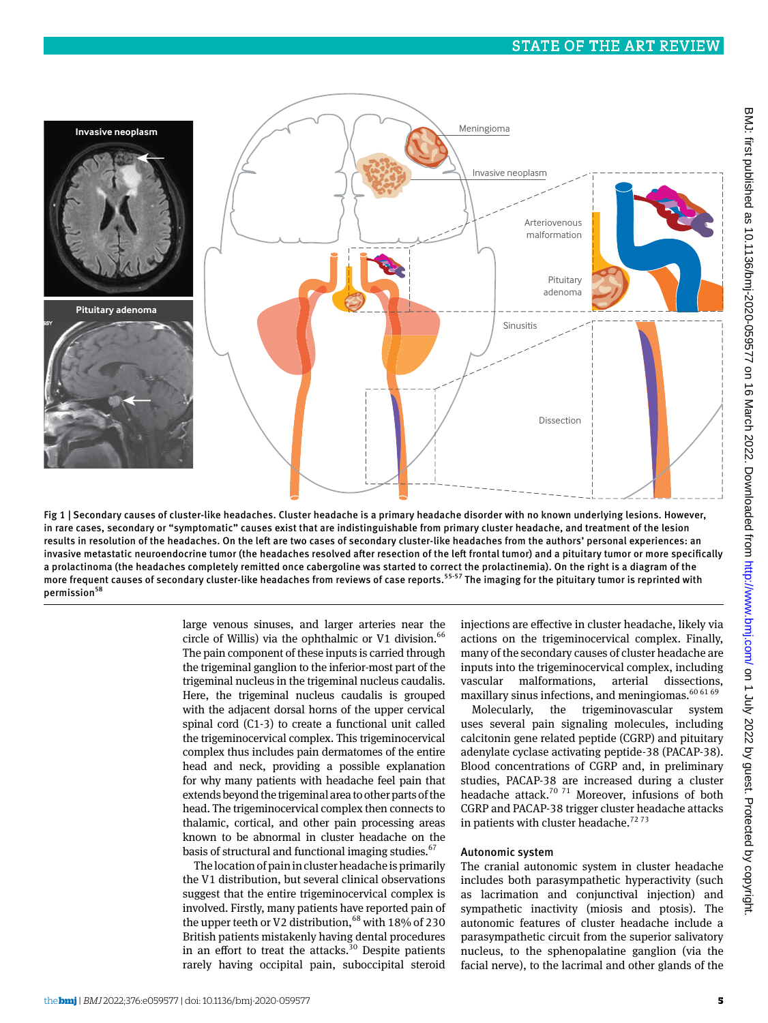

Fig 1 | Secondary causes of cluster-like headaches. Cluster headache is a primary headache disorder with no known underlying lesions. However, in rare cases, secondary or "symptomatic" causes exist that are indistinguishable from primary cluster headache, and treatment of the lesion results in resolution of the headaches. On the left are two cases of secondary cluster-like headaches from the authors' personal experiences: an invasive metastatic neuroendocrine tumor (the headaches resolved after resection of the left frontal tumor) and a pituitary tumor or more specifically a prolactinoma (the headaches completely remitted once cabergoline was started to correct the prolactinemia). On the right is a diagram of the more frequent causes of secondary cluster-like headaches from reviews of case reports.<sup>55-57</sup> The imaging for the pituitary tumor is reprinted with permission<sup>58</sup>

large venous sinuses, and larger arteries near the circle of Willis) via the ophthalmic or V1 division. $66$ The pain component of these inputs is carried through the trigeminal ganglion to the inferior-most part of the trigeminal nucleus in the trigeminal nucleus caudalis. Here, the trigeminal nucleus caudalis is grouped with the adjacent dorsal horns of the upper cervical spinal cord (C1-3) to create a functional unit called the trigeminocervical complex. This trigeminocervical complex thus includes pain dermatomes of the entire head and neck, providing a possible explanation for why many patients with headache feel pain that extends beyond the trigeminal area to other parts of the head. The trigeminocervical complex then connects to thalamic, cortical, and other pain processing areas known to be abnormal in cluster headache on the basis of structural and functional imaging studies.<sup>67</sup>

The location of pain in cluster headache is primarily the V1 distribution, but several clinical observations suggest that the entire trigeminocervical complex is involved. Firstly, many patients have reported pain of the upper teeth or V2 distribution,  $68$  with 18% of 230 British patients mistakenly having dental procedures in an effort to treat the attacks. $30$  Despite patients rarely having occipital pain, suboccipital steroid

injections are effective in cluster headache, likely via actions on the trigeminocervical complex. Finally, many of the secondary causes of cluster headache are inputs into the trigeminocervical complex, including vascular malformations, arterial dissections, maxillary sinus infections, and meningiomas.<sup>60 61 69</sup>

Molecularly, the trigeminovascular system uses several pain signaling molecules, including calcitonin gene related peptide (CGRP) and pituitary adenylate cyclase activating peptide-38 (PACAP-38). Blood concentrations of CGRP and, in preliminary studies, PACAP-38 are increased during a cluster headache attack.<sup>70 71</sup> Moreover, infusions of both CGRP and PACAP-38 trigger cluster headache attacks in patients with cluster headache.<sup>7273</sup>

## Autonomic system

The cranial autonomic system in cluster headache includes both parasympathetic hyperactivity (such as lacrimation and conjunctival injection) and sympathetic inactivity (miosis and ptosis). The autonomic features of cluster headache include a parasympathetic circuit from the superior salivatory nucleus, to the sphenopalatine ganglion (via the facial nerve), to the lacrimal and other glands of the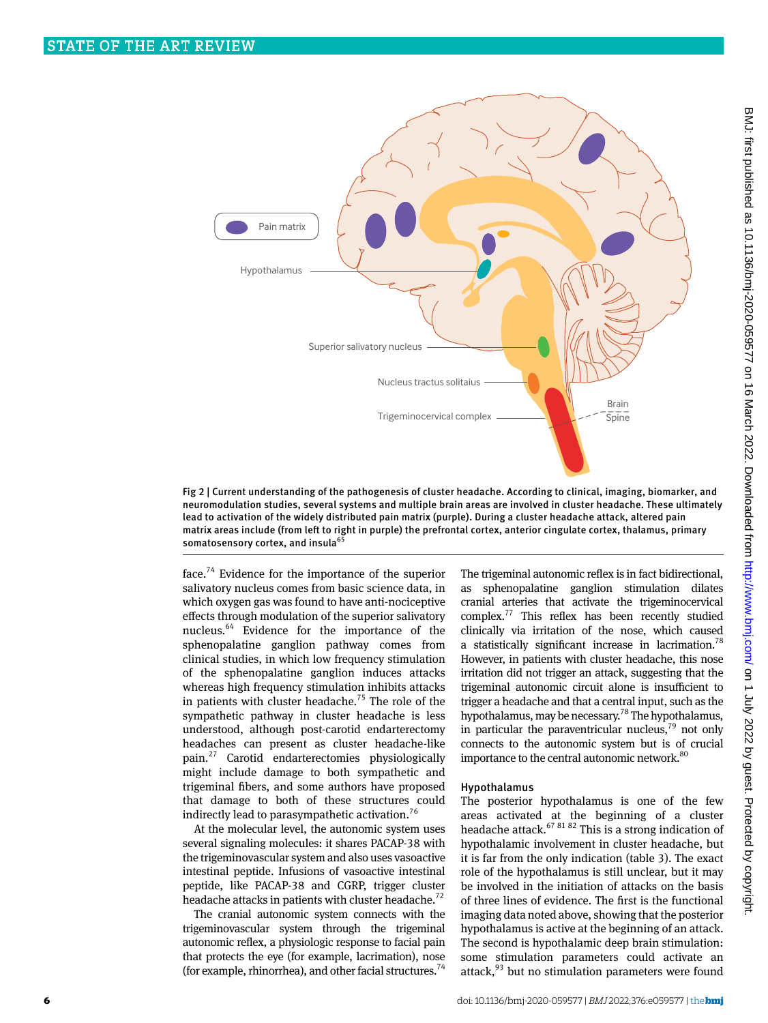

Fig 2 | Current understanding of the pathogenesis of cluster headache. According to clinical, imaging, biomarker, and neuromodulation studies, several systems and multiple brain areas are involved in cluster headache. These ultimately lead to activation of the widely distributed pain matrix (purple). During a cluster headache attack, altered pain matrix areas include (from left to right in purple) the prefrontal cortex, anterior cingulate cortex, thalamus, primary somatosensory cortex, and insula<sup>65</sup>

face.<sup>74</sup> Evidence for the importance of the superior salivatory nucleus comes from basic science data, in which oxygen gas was found to have anti-nociceptive effects through modulation of the superior salivatory nucleus.64 Evidence for the importance of the sphenopalatine ganglion pathway comes from clinical studies, in which low frequency stimulation of the sphenopalatine ganglion induces attacks whereas high frequency stimulation inhibits attacks in patients with cluster headache.<sup>75</sup> The role of the sympathetic pathway in cluster headache is less understood, although post-carotid endarterectomy headaches can present as cluster headache-like pain.27 Carotid endarterectomies physiologically might include damage to both sympathetic and trigeminal fibers, and some authors have proposed that damage to both of these structures could indirectly lead to parasympathetic activation.<sup>76</sup>

At the molecular level, the autonomic system uses several signaling molecules: it shares PACAP-38 with the trigeminovascular system and also uses vasoactive intestinal peptide. Infusions of vasoactive intestinal peptide, like PACAP-38 and CGRP, trigger cluster headache attacks in patients with cluster headache.<sup>72</sup>

The cranial autonomic system connects with the trigeminovascular system through the trigeminal autonomic reflex, a physiologic response to facial pain that protects the eye (for example, lacrimation), nose (for example, rhinorrhea), and other facial structures.<sup>74</sup> The trigeminal autonomic reflex is in fact bidirectional, as sphenopalatine ganglion stimulation dilates cranial arteries that activate the trigeminocervical complex.77 This reflex has been recently studied clinically via irritation of the nose, which caused a statistically significant increase in lacrimation.<sup>78</sup> However, in patients with cluster headache, this nose irritation did not trigger an attack, suggesting that the trigeminal autonomic circuit alone is insufficient to trigger a headache and that a central input, such as the hypothalamus, may be necessary.78 The hypothalamus, in particular the paraventricular nucleus, $79$  not only connects to the autonomic system but is of crucial importance to the central autonomic network.<sup>80</sup>

## Hypothalamus

The posterior hypothalamus is one of the few areas activated at the beginning of a cluster headache attack. $67 81 82$  This is a strong indication of hypothalamic involvement in cluster headache, but it is far from the only indication (table 3). The exact role of the hypothalamus is still unclear, but it may be involved in the initiation of attacks on the basis of three lines of evidence. The first is the functional imaging data noted above, showing that the posterior hypothalamus is active at the beginning of an attack. The second is hypothalamic deep brain stimulation: some stimulation parameters could activate an attack, $93$  but no stimulation parameters were found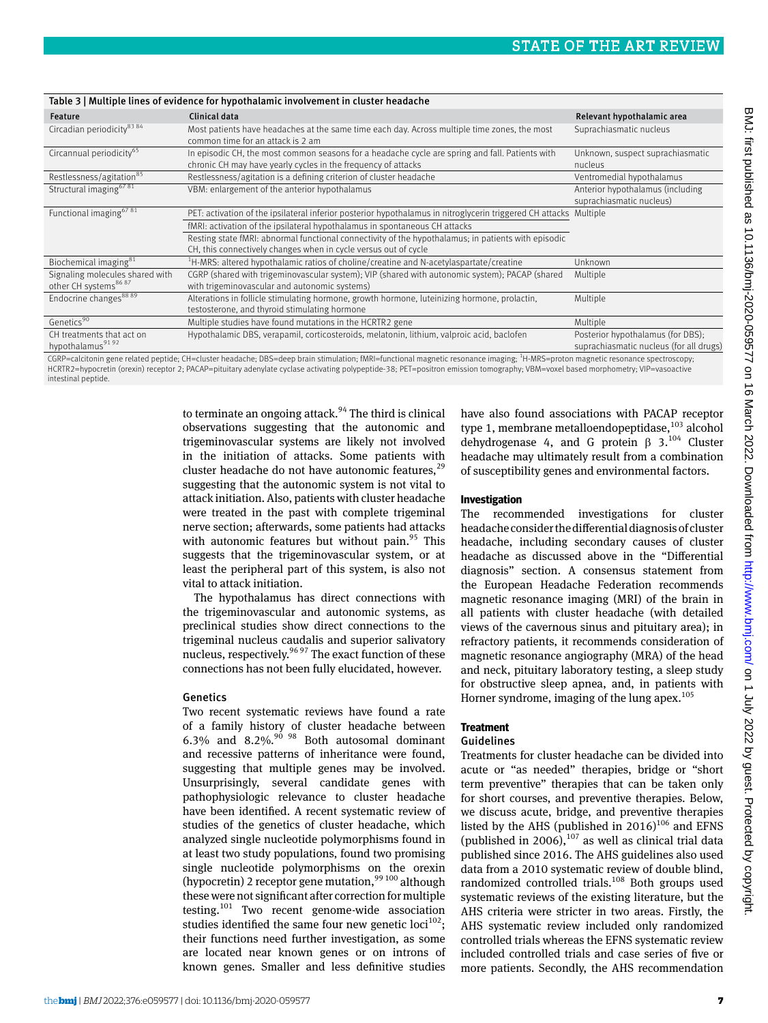|                                                                     | Table 3   Multiple lines of evidence for hypothalamic involvement in cluster headache                                                                                                         |                                                                              |
|---------------------------------------------------------------------|-----------------------------------------------------------------------------------------------------------------------------------------------------------------------------------------------|------------------------------------------------------------------------------|
| Feature                                                             | Clinical data                                                                                                                                                                                 | Relevant hypothalamic area                                                   |
| Circadian periodicity <sup>83 84</sup>                              | Most patients have headaches at the same time each day. Across multiple time zones, the most<br>common time for an attack is 2 am                                                             | Suprachiasmatic nucleus                                                      |
| Circannual periodicity <sup>65</sup>                                | In episodic CH, the most common seasons for a headache cycle are spring and fall. Patients with<br>chronic CH may have yearly cycles in the frequency of attacks                              | Unknown, suspect suprachiasmatic<br>nucleus                                  |
| Restlessness/agitation <sup>85</sup>                                | Restlessness/agitation is a defining criterion of cluster headache                                                                                                                            | Ventromedial hypothalamus                                                    |
| Structural imaging <sup>6781</sup>                                  | VBM: enlargement of the anterior hypothalamus                                                                                                                                                 | Anterior hypothalamus (including<br>suprachiasmatic nucleus)                 |
| Functional imaging <sup>6781</sup>                                  | PET: activation of the ipsilateral inferior posterior hypothalamus in nitroglycerin triggered CH attacks Multiple                                                                             |                                                                              |
|                                                                     | fMRI: activation of the ipsilateral hypothalamus in spontaneous CH attacks                                                                                                                    |                                                                              |
|                                                                     | Resting state fMRI: abnormal functional connectivity of the hypothalamus; in patients with episodic<br>CH, this connectively changes when in cycle versus out of cycle                        |                                                                              |
| Biochemical imaging <sup>81</sup>                                   | $^{1}$ H-MRS: altered hypothalamic ratios of choline/creatine and N-acetylaspartate/creatine                                                                                                  | Unknown                                                                      |
| Signaling molecules shared with<br>other CH systems <sup>8687</sup> | CGRP (shared with trigeminovascular system); VIP (shared with autonomic system); PACAP (shared<br>with trigeminovascular and autonomic systems)                                               | Multiple                                                                     |
| Endocrine changes <sup>88 89</sup>                                  | Alterations in follicle stimulating hormone, growth hormone, luteinizing hormone, prolactin,<br>testosterone, and thyroid stimulating hormone                                                 | Multiple                                                                     |
| Genetics <sup>90</sup>                                              | Multiple studies have found mutations in the HCRTR2 gene                                                                                                                                      | Multiple                                                                     |
| CH treatments that act on<br>hypothalamus <sup>9192</sup>           | Hypothalamic DBS, verapamil, corticosteroids, melatonin, lithium, valproic acid, baclofen                                                                                                     | Posterior hypothalamus (for DBS);<br>suprachiasmatic nucleus (for all drugs) |
|                                                                     | CCPP-calcitonin gono related pontido. CH-cluster hoadacho: DRS-doop brain stimulation: fMPI-functional magnotic reconance imaging: <sup>1</sup> H-MPS-proton magnotic reconance spectroscopy. |                                                                              |

CGRP=calcitonin gene related peptide; CH=cluster headache; DBS=deep brain stimulation; fMRI=functional magnetic resonance imaging; <sup>1</sup>H-MRS=proton magnetic resonance spectroscopy;<br>HCRTR2=hypocretin (orexin) receptor 2; PAC intestinal peptide.

> to terminate an ongoing attack.<sup>94</sup> The third is clinical observations suggesting that the autonomic and trigeminovascular systems are likely not involved in the initiation of attacks. Some patients with cluster headache do not have autonomic features, $^{29}$ suggesting that the autonomic system is not vital to attack initiation. Also, patients with cluster headache were treated in the past with complete trigeminal nerve section; afterwards, some patients had attacks with autonomic features but without pain. $95$  This suggests that the trigeminovascular system, or at least the peripheral part of this system, is also not vital to attack initiation.

> The hypothalamus has direct connections with the trigeminovascular and autonomic systems, as preclinical studies show direct connections to the trigeminal nucleus caudalis and superior salivatory nucleus, respectively.<sup>96 97</sup> The exact function of these connections has not been fully elucidated, however.

#### Genetics

Two recent systematic reviews have found a rate of a family history of cluster headache between 6.3% and  $8.2\%$ ,  $90\%$   $98$  Both autosomal dominant and recessive patterns of inheritance were found, suggesting that multiple genes may be involved. Unsurprisingly, several candidate genes with pathophysiologic relevance to cluster headache have been identified. A recent systematic review of studies of the genetics of cluster headache, which analyzed single nucleotide polymorphisms found in at least two study populations, found two promising single nucleotide polymorphisms on the orexin (hypocretin) 2 receptor gene mutation,  $99\,100$  although these were not significant after correction for multiple testing.101 Two recent genome-wide association studies identified the same four new genetic loci<sup>102</sup>; their functions need further investigation, as some are located near known genes or on introns of known genes. Smaller and less definitive studies

have also found associations with PACAP receptor type 1, membrane metalloendopeptidase,<sup>103</sup> alcohol dehydrogenase 4, and G protein  $\beta$  3.<sup>104</sup> Cluster headache may ultimately result from a combination of susceptibility genes and environmental factors.

## **Investigation**

The recommended investigations for cluster headache consider the differential diagnosis of cluster headache, including secondary causes of cluster headache as discussed above in the "Differential diagnosis" section. A consensus statement from the European Headache Federation recommends magnetic resonance imaging (MRI) of the brain in all patients with cluster headache (with detailed views of the cavernous sinus and pituitary area); in refractory patients, it recommends consideration of magnetic resonance angiography (MRA) of the head and neck, pituitary laboratory testing, a sleep study for obstructive sleep apnea, and, in patients with Horner syndrome, imaging of the lung apex. $105$ 

## **Treatment**

## Guidelines

Treatments for cluster headache can be divided into acute or "as needed" therapies, bridge or "short term preventive" therapies that can be taken only for short courses, and preventive therapies. Below, we discuss acute, bridge, and preventive therapies listed by the AHS (published in  $2016$ )<sup>106</sup> and EFNS (published in 2006), $107$  as well as clinical trial data published since 2016. The AHS guidelines also used data from a 2010 systematic review of double blind, randomized controlled trials. $108$  Both groups used systematic reviews of the existing literature, but the AHS criteria were stricter in two areas. Firstly, the AHS systematic review included only randomized controlled trials whereas the EFNS systematic review included controlled trials and case series of five or more patients. Secondly, the AHS recommendation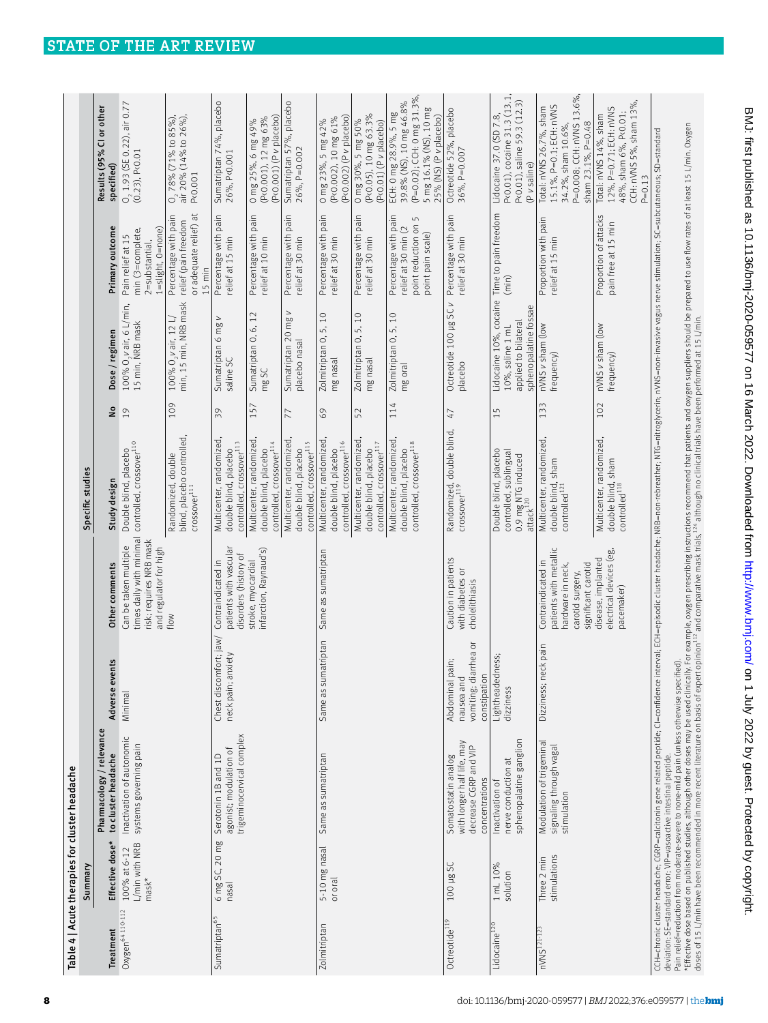|                              | Summary                                                 | Table 4   Acute therapies for cluster headache                                                                                                                                                                                                                                                                                                                                                   |                                                                        |                                                                                                              | Specific studies                                                                           |            |                                                                                                                                                                                                                               |                                                                                                          |                                                                                                                                    |
|------------------------------|---------------------------------------------------------|--------------------------------------------------------------------------------------------------------------------------------------------------------------------------------------------------------------------------------------------------------------------------------------------------------------------------------------------------------------------------------------------------|------------------------------------------------------------------------|--------------------------------------------------------------------------------------------------------------|--------------------------------------------------------------------------------------------|------------|-------------------------------------------------------------------------------------------------------------------------------------------------------------------------------------------------------------------------------|----------------------------------------------------------------------------------------------------------|------------------------------------------------------------------------------------------------------------------------------------|
| Treatment                    | Effective dose*                                         | Pharmacology / relevance<br>to cluster headache                                                                                                                                                                                                                                                                                                                                                  | Adverse events                                                         | Other comments                                                                                               | Study design                                                                               | å          | Dose / regimen                                                                                                                                                                                                                | Primary outcome                                                                                          | Results (95% CI or other<br>specified)                                                                                             |
| Oxygen <sup>64</sup> 110-112 | L/min with NRB<br>100% at 6-12<br>$\text{mask}^{\star}$ | Inactivation of autonomic<br>systems governing pain                                                                                                                                                                                                                                                                                                                                              | Minimal                                                                | times daily with minimal<br>risk; requires NRB mask<br>Can be taken multiple<br>and regulator for high       | controlled, crossover <sup>110</sup><br>Double blind, placebo                              | 19         | 100% O, vair, 6 L/min,<br>15 min, NRB mask                                                                                                                                                                                    | 1=slight, 0=none)<br>min (3=complete,<br>Pain relief at 15<br>$2 =$ substantial,                         | $0, 1.93$ (SE 0.22), air 0.77<br>(0.23), Pc0.01                                                                                    |
|                              |                                                         |                                                                                                                                                                                                                                                                                                                                                                                                  |                                                                        | flow                                                                                                         | blind, placebo controlled,<br>Randomized, double<br>$C$ rossover $^{111}$                  | 109        | min, 15 min, NRB mask<br>100% $O_2$ v air, 12 L/                                                                                                                                                                              | or adequate relief) at<br>Percentage with pain<br>relief (pain freedom<br>$15$ min                       | 0, 78% (71% to 85%),<br>air 20% (14% to 26%),<br>P<0.001                                                                           |
| Sumatriptan <sup>65</sup>    | 6 mg SC, 20 mg<br>nasal                                 | trigeminocervical complex<br>agonist; modulation of<br>Serotonin 1B and 1D                                                                                                                                                                                                                                                                                                                       | fort; jaw/<br>neck pain; anxiety<br>Chest discom                       | patients with vascular<br>disorders (history of<br>Contraindicated in                                        | Multicenter, randomized<br>controlled, crossover <sup>113</sup><br>double blind, placebo   | 39         | $\geq$<br>Sumatriptan 6 mg<br>saline SC                                                                                                                                                                                       | Percentage with pain<br>relief at 15 min                                                                 | Sumatriptan 74%, placebo<br>26%, P<0.001                                                                                           |
|                              |                                                         |                                                                                                                                                                                                                                                                                                                                                                                                  |                                                                        | infarction, Raynaud's)<br>stroke, myocardial                                                                 | Multicenter, randomized<br>controlled, crossover <sup>114</sup><br>double blind, placebo   | 15         | Sumatriptan 0, 6, 12<br>mg SC                                                                                                                                                                                                 | Percentage with pain<br>relief at 10 min                                                                 | (P<0.001) (P v placebo)<br>0 mg 25%, 6 mg 49%<br>(P<0.001), 12 mg 63%                                                              |
|                              |                                                         |                                                                                                                                                                                                                                                                                                                                                                                                  |                                                                        |                                                                                                              | Multicenter, randomized<br>controlled, crossover <sup>115</sup><br>double blind, placebo   | 77         | $\geq$<br>Sumatriptan 20 mg<br>placebo nasal                                                                                                                                                                                  | pain<br>Percentage with<br>relief at 30 min                                                              | Sumatriptan 57%, placebo<br>26%, P=0.002                                                                                           |
| Zolmitriptan                 | 5-10 mg nasal<br>or oral                                | Same as sumatriptan                                                                                                                                                                                                                                                                                                                                                                              | Same as sumatriptan                                                    | Same as sumatriptan                                                                                          | Multicenter, randomized<br>controlled, crossover <sup>116</sup><br>double blind, placebo   | 69         | 5,10<br>Zolmitriptan 0,<br>mg nasal                                                                                                                                                                                           | Percentage with pain<br>relief at 30 min                                                                 | (P<0.002) (P v placebo)<br>(P<0.002), 10 mg 61%<br>0 mg 23%, 5 mg 42%                                                              |
|                              |                                                         |                                                                                                                                                                                                                                                                                                                                                                                                  |                                                                        |                                                                                                              | Multicenter, randomized<br>controlled, crossover <sup>117</sup><br>double blind, placebo   | 52         | 5,10<br>Zolmitriptan 0,<br>mg nasal                                                                                                                                                                                           | Percentage with pain<br>relief at 30 min                                                                 | (P<0.05), 10 mg 63.3%<br>0 mg 30%, 5 mg 50%<br>$(P0.01) (P V$ placebo)                                                             |
|                              |                                                         |                                                                                                                                                                                                                                                                                                                                                                                                  |                                                                        |                                                                                                              | Multicenter, randomized<br>controlled, crossover <sup>118</sup><br>double blind, placebo   | 114        | Zolmitriptan O, 5, 10<br>mg oral                                                                                                                                                                                              | Percentage with pain<br>$\overline{5}$<br>point reduction on<br>relief at 30 min (2<br>point pain scale) | (P=0.02); CCH: 0 mg 31.3%,<br>39.8% (NS), 10 mg 46.8%<br>5 mg 16.1% (NS), 10 mg<br>ECH: 0 mg 28.9%, 5 mg<br>25% (NS) (P v placebo) |
| Octreotide <sup>119</sup>    | 100 µg SC                                               | with longer half life, may<br>decrease CGRP and VIP<br>Somatostatin analog<br>concentrations                                                                                                                                                                                                                                                                                                     | vomiting; diarrhea or<br>Abdominal pain;<br>constipation<br>nausea and | Caution in patients<br>with diabetes or<br>cholelithiasis                                                    | Randomized, double blind,<br>crossover <sup>119</sup>                                      | $\sqrt{4}$ | Octreotide 100 µg SC v<br>placebo                                                                                                                                                                                             | Percentage with pain<br>relief at 30 min                                                                 | Octreotide 52%, placebo<br>36%, P=0.007                                                                                            |
| Lidocaine <sup>120</sup>     | 1 mL 10%<br>solution                                    | sphenopalatine ganglion<br>nerve conduction at<br>Inactivation of                                                                                                                                                                                                                                                                                                                                | Lightheadedness;<br>dizziness                                          |                                                                                                              | Double blind, placebo<br>controlled, sublingual<br>$0.9$ mg NTG induced<br>attack $^{120}$ | 15         | Lidocaine 10%, cocaine<br>sphenopalatine fossae<br>applied to bilateral<br>10%, saline 1 mL                                                                                                                                   | Time to pain freedom<br>(min)                                                                            | P<0.01), cocaine 31.3 (13.1,<br>P<0.01), saline 59.3 (12.3)<br>Lidocaine 37.0 (SD 7.8,<br>(P v saline)                             |
| nVNS <sup>121-123</sup>      | stimulations<br>Three 2 min                             | Modulation of trigeminal<br>signaling through vagal<br>stimulation                                                                                                                                                                                                                                                                                                                               | Dizziness; neck pain                                                   | patients with metallic<br>Contraindicated in<br>hardware in neck,<br>significant carotid<br>carotid surgery, | Multicenter, randomized,<br>double blind, sham<br>controlled <sup>121</sup>                | 133        | nVNS v sham (low<br>frequency)                                                                                                                                                                                                | Proportion with pain<br>relief at 15 min                                                                 | P=0.008; CCH: nVNS 13.6%,<br>15.1%, P=0.1; ECH: nVNS<br>Total: nVNS 26.7%, sham<br>sham 23.1%, P=0.48<br>34.2%, sham 10.6%,        |
|                              |                                                         |                                                                                                                                                                                                                                                                                                                                                                                                  |                                                                        | electrical devices (eg,<br>disease, implanted<br>pacemaker)                                                  | Multicenter, randomized,<br>double blind, sham<br>controlled <sup>118</sup>                | 102        | nVNS v sham (low<br>frequency)                                                                                                                                                                                                | Proportion of attacks<br>pain free at 15 min                                                             | CCH: nVNS 5%, sham 13%<br>12%, P=0.71; ECH: nVNS<br>48%, sham 6%, P<0.01;<br>Total: nVNS 14%, sham<br>$P = 0.13$                   |
|                              |                                                         | CCH=chronic duster headache; CGRP=calcitonin gene related peptide; Cl=confidence interval; ECH=episodic cluster headache; NRB=non-rebreather; NTG=nitroglycerin; nVNS=non-invasive vagus nerve stimulation; SC=subcutaneous; S<br>Pain relief=reduction from moderate-severe to none-mild pain (unless otherwise specified).<br>deviation; SE=standard error; VIP=vasoactive intestinal peptide. |                                                                        |                                                                                                              |                                                                                            |            | *Efective dose based on published studies, although other doses may be used dinically. For example, oxgen prescribing instructions recommend that patients and oxygen suppliers should be prepared to use flow rates of at L9 |                                                                                                          |                                                                                                                                    |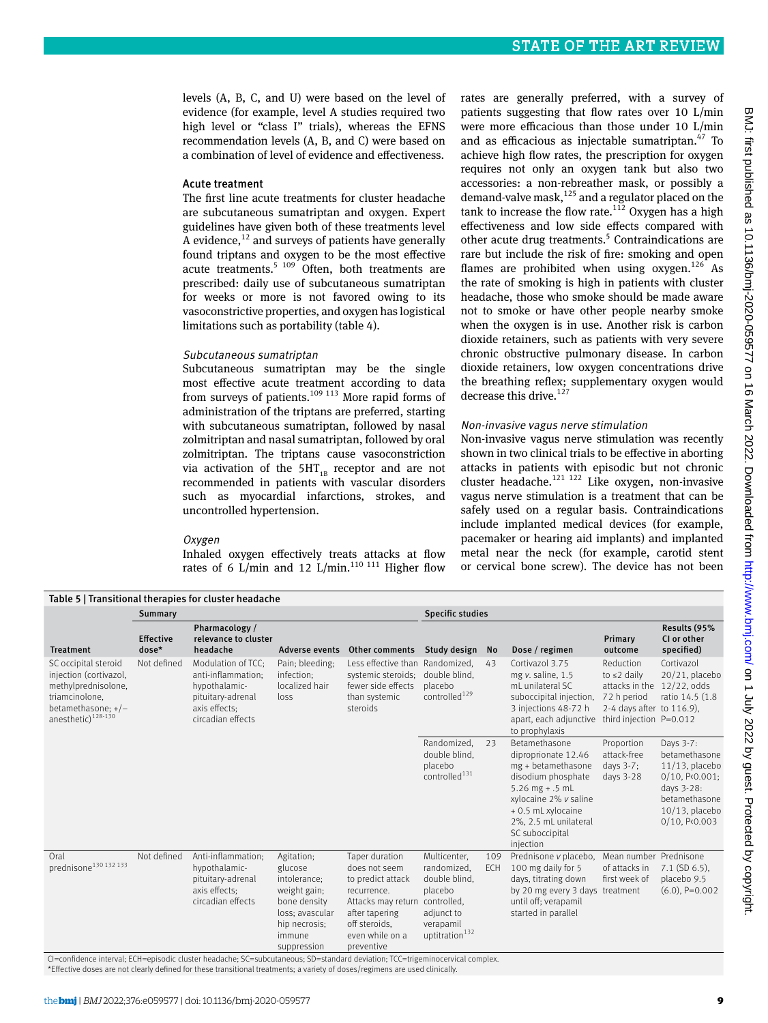levels (A, B, C, and U) were based on the level of evidence (for example, level A studies required two high level or "class I" trials), whereas the EFNS recommendation levels (A, B, and C) were based on a combination of level of evidence and effectiveness.

## Acute treatment

The first line acute treatments for cluster headache are subcutaneous sumatriptan and oxygen. Expert guidelines have given both of these treatments level  $\overline{A}$  evidence,<sup>12</sup> and surveys of patients have generally found triptans and oxygen to be the most effective acute treatments.<sup>5</sup> <sup>109</sup> Often, both treatments are prescribed: daily use of subcutaneous sumatriptan for weeks or more is not favored owing to its vasoconstrictive properties, and oxygen has logistical limitations such as portability (table 4).

## Subcutaneous sumatriptan

Subcutaneous sumatriptan may be the single most effective acute treatment according to data from surveys of patients. $109$  113 More rapid forms of administration of the triptans are preferred, starting with subcutaneous sumatriptan, followed by nasal zolmitriptan and nasal sumatriptan, followed by oral zolmitriptan. The triptans cause vasoconstriction via activation of the  $5HT_{1B}$  receptor and are not recommended in patients with vascular disorders such as myocardial infarctions, strokes, and uncontrolled hypertension.

#### Oxygen

Inhaled oxygen effectively treats attacks at flow rates of 6 L/min and 12 L/min.<sup>110 111</sup> Higher flow rates are generally preferred, with a survey of patients suggesting that flow rates over 10 L/min were more efficacious than those under 10 L/min and as efficacious as injectable sumatriptan. $47$  To achieve high flow rates, the prescription for oxygen requires not only an oxygen tank but also two accessories: a non-rebreather mask, or possibly a demand-valve mask,  $125$  and a regulator placed on the tank to increase the flow rate. $112$  Oxygen has a high effectiveness and low side effects compared with other acute drug treatments.<sup>5</sup> Contraindications are rare but include the risk of fire: smoking and open flames are prohibited when using  $oxygen.<sup>126</sup>$  As the rate of smoking is high in patients with cluster headache, those who smoke should be made aware not to smoke or have other people nearby smoke when the oxygen is in use. Another risk is carbon dioxide retainers, such as patients with very severe chronic obstructive pulmonary disease. In carbon dioxide retainers, low oxygen concentrations drive the breathing reflex; supplementary oxygen would decrease this drive.<sup>127</sup>

#### Non-invasive vagus nerve stimulation

Non-invasive vagus nerve stimulation was recently shown in two clinical trials to be effective in aborting attacks in patients with episodic but not chronic cluster headache.121 122 Like oxygen, non-invasive vagus nerve stimulation is a treatment that can be safely used on a regular basis. Contraindications include implanted medical devices (for example, pacemaker or hearing aid implants) and implanted metal near the neck (for example, carotid stent or cervical bone screw). The device has not been

| Table 5   Transitional therapies for cluster headache                                                                                             |                           |                                                                                                                      |                                                                                                                                    |                                                                                                                                                               |                                                                                                                        |                   |                                                                                                                                                                                                               |                                                                                                                         |                                                                                                                                                      |
|---------------------------------------------------------------------------------------------------------------------------------------------------|---------------------------|----------------------------------------------------------------------------------------------------------------------|------------------------------------------------------------------------------------------------------------------------------------|---------------------------------------------------------------------------------------------------------------------------------------------------------------|------------------------------------------------------------------------------------------------------------------------|-------------------|---------------------------------------------------------------------------------------------------------------------------------------------------------------------------------------------------------------|-------------------------------------------------------------------------------------------------------------------------|------------------------------------------------------------------------------------------------------------------------------------------------------|
|                                                                                                                                                   | Summary                   |                                                                                                                      |                                                                                                                                    |                                                                                                                                                               | <b>Specific studies</b>                                                                                                |                   |                                                                                                                                                                                                               |                                                                                                                         |                                                                                                                                                      |
| <b>Treatment</b>                                                                                                                                  | <b>Effective</b><br>dose* | Pharmacology /<br>relevance to cluster<br>headache                                                                   | Adverse events                                                                                                                     | Other comments                                                                                                                                                | Study design                                                                                                           | <b>No</b>         | Dose / regimen                                                                                                                                                                                                | Primary<br>outcome                                                                                                      | Results (95%<br>CI or other<br>specified)                                                                                                            |
| SC occipital steroid<br>injection (cortivazol,<br>methylprednisolone,<br>triamcinolone.<br>betamethasone; $+/-$<br>anesthetic) <sup>128-130</sup> | Not defined               | Modulation of TCC:<br>anti-inflammation:<br>hypothalamic-<br>pituitary-adrenal<br>axis effects;<br>circadian effects | Pain; bleeding;<br>infection:<br>localized hair<br>loss                                                                            | Less effective than<br>systemic steroids;<br>fewer side effects<br>than systemic<br>steroids                                                                  | Randomized.<br>double blind.<br>placebo<br>controlled <sup>129</sup>                                                   | 43                | Cortivazol 3.75<br>mg v. saline, 1.5<br>mL unilateral SC<br>suboccipital injection,<br>3 injections 48-72 h<br>apart, each adjunctive<br>to prophylaxis                                                       | Reduction<br>to $\leq 2$ daily<br>attacks in the<br>72 h period<br>2-4 days after to 116.9),<br>third injection P=0.012 | Cortivazol<br>$20/21$ , placebo<br>12/22, odds<br>ratio 14.5 (1.8)                                                                                   |
|                                                                                                                                                   |                           |                                                                                                                      |                                                                                                                                    |                                                                                                                                                               | Randomized,<br>double blind,<br>placebo<br>controlled <sup>131</sup>                                                   | 23                | Betamethasone<br>diproprionate 12.46<br>mg + betamethasone<br>disodium phosphate<br>5.26 mg $+ .5$ mL<br>xylocaine 2% v saline<br>+ 0.5 mL xylocaine<br>2%, 2.5 mL unilateral<br>SC suboccipital<br>injection | Proportion<br>attack-free<br>days $3-7$ ;<br>days $3-28$                                                                | Days 3-7:<br>betamethasone<br>$11/13$ , placebo<br>$0/10$ , P<0.001;<br>days 3-28:<br>betamethasone<br>$10/13$ , placebo<br>0/10, P <sub>0.003</sub> |
| Oral<br>prednisone <sup>130</sup> 132 133                                                                                                         | Not defined               | Anti-inflammation;<br>hypothalamic-<br>pituitary-adrenal<br>axis effects;<br>circadian effects                       | Agitation;<br>glucose<br>intolerance:<br>weight gain;<br>bone density<br>loss; avascular<br>hip necrosis;<br>immune<br>suppression | Taper duration<br>does not seem<br>to predict attack<br>recurrence.<br>Attacks may return<br>after tapering<br>off steroids.<br>even while on a<br>preventive | Multicenter,<br>randomized,<br>double blind,<br>placebo<br>controlled.<br>adjunct to<br>verapamil<br>uptitration $132$ | 109<br><b>ECH</b> | Prednisone v placebo,<br>100 mg daily for 5<br>days, titrating down<br>by 20 mg every 3 days treatment<br>until off; verapamil<br>started in parallel                                                         | Mean number Prednisone<br>of attacks in<br>first week of                                                                | $7.1$ (SD 6.5),<br>placebo 9.5<br>$(6.0)$ , P=0.002                                                                                                  |

CI=confidence interval; ECH=episodic cluster headache; SC=subcutaneous; SD=standard deviation; TCC=trigeminocervical complex. \*Effective doses are not clearly defined for these transitional treatments; a variety of doses/regimens are used clinically.

the <mark>bmj</mark> | *BMJ* 2022;376:e059577 | doi: 10.1136/bmj-2020-059577 9 **9 | page 10.11** | **9 | page 10.11** | **9 | page 10.11** | **9 | page 10.11** | **9 | page 10.11** | **9 | page 10.11** | **9 | page 10.11** | **9 | page 10.11** | **9**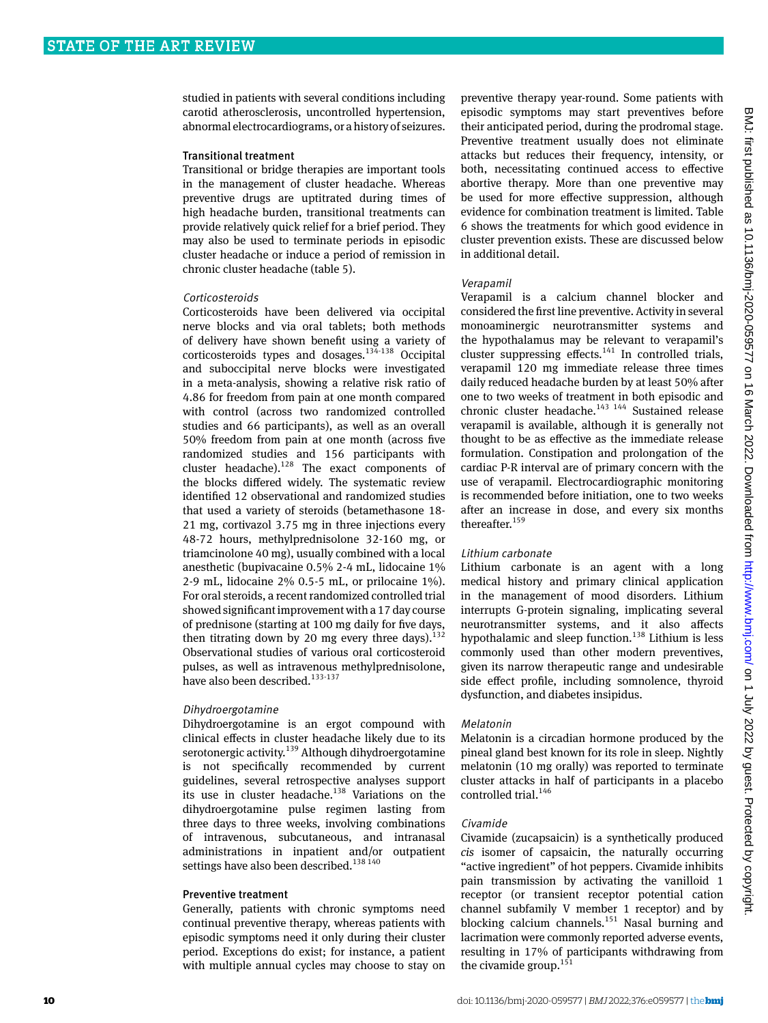studied in patients with several conditions including carotid atherosclerosis, uncontrolled hypertension, abnormal electrocardiograms, or a history of seizures.

#### Transitional treatment

Transitional or bridge therapies are important tools in the management of cluster headache. Whereas preventive drugs are uptitrated during times of high headache burden, transitional treatments can provide relatively quick relief for a brief period. They may also be used to terminate periods in episodic cluster headache or induce a period of remission in chronic cluster headache (table 5).

#### Corticosteroids

Corticosteroids have been delivered via occipital nerve blocks and via oral tablets; both methods of delivery have shown benefit using a variety of corticosteroids types and dosages.<sup>134-138</sup> Occipital and suboccipital nerve blocks were investigated in a meta-analysis, showing a relative risk ratio of 4.86 for freedom from pain at one month compared with control (across two randomized controlled studies and 66 participants), as well as an overall 50% freedom from pain at one month (across five randomized studies and 156 participants with cluster headache).<sup>128</sup> The exact components of the blocks differed widely. The systematic review identified 12 observational and randomized studies that used a variety of steroids (betamethasone 18- 21 mg, cortivazol 3.75 mg in three injections every 48-72 hours, methylprednisolone 32-160 mg, or triamcinolone 40 mg), usually combined with a local anesthetic (bupivacaine 0.5% 2-4 mL, lidocaine 1% 2-9 mL, lidocaine 2% 0.5-5 mL, or prilocaine 1%). For oral steroids, a recent randomized controlled trial showed significant improvement with a 17 day course of prednisone (starting at 100 mg daily for five days, then titrating down by 20 mg every three days). $132$ Observational studies of various oral corticosteroid pulses, as well as intravenous methylprednisolone, have also been described.<sup>133-137</sup>

#### Dihydroergotamine

Dihydroergotamine is an ergot compound with clinical effects in cluster headache likely due to its serotonergic activity.<sup>139</sup> Although dihydroergotamine is not specifically recommended by current guidelines, several retrospective analyses support its use in cluster headache.<sup>138</sup> Variations on the dihydroergotamine pulse regimen lasting from three days to three weeks, involving combinations of intravenous, subcutaneous, and intranasal administrations in inpatient and/or outpatient settings have also been described.<sup>138 140</sup>

## Preventive treatment

Generally, patients with chronic symptoms need continual preventive therapy, whereas patients with episodic symptoms need it only during their cluster period. Exceptions do exist; for instance, a patient with multiple annual cycles may choose to stay on

preventive therapy year-round. Some patients with episodic symptoms may start preventives before their anticipated period, during the prodromal stage. Preventive treatment usually does not eliminate attacks but reduces their frequency, intensity, or both, necessitating continued access to effective abortive therapy. More than one preventive may be used for more effective suppression, although evidence for combination treatment is limited. Table 6 shows the treatments for which good evidence in cluster prevention exists. These are discussed below in additional detail.

## Verapamil

Verapamil is a calcium channel blocker and considered the first line preventive. Activity in several monoaminergic neurotransmitter systems and the hypothalamus may be relevant to verapamil's cluster suppressing effects.<sup>141</sup> In controlled trials, verapamil 120 mg immediate release three times daily reduced headache burden by at least 50% after one to two weeks of treatment in both episodic and chronic cluster headache.<sup>143 144</sup> Sustained release verapamil is available, although it is generally not thought to be as effective as the immediate release formulation. Constipation and prolongation of the cardiac P-R interval are of primary concern with the use of verapamil. Electrocardiographic monitoring is recommended before initiation, one to two weeks after an increase in dose, and every six months thereafter.<sup>159</sup>

## Lithium carbonate

Lithium carbonate is an agent with a long medical history and primary clinical application in the management of mood disorders. Lithium interrupts G-protein signaling, implicating several neurotransmitter systems, and it also affects hypothalamic and sleep function.<sup>138</sup> Lithium is less commonly used than other modern preventives, given its narrow therapeutic range and undesirable side effect profile, including somnolence, thyroid dysfunction, and diabetes insipidus.

#### Melatonin

Melatonin is a circadian hormone produced by the pineal gland best known for its role in sleep. Nightly melatonin (10 mg orally) was reported to terminate cluster attacks in half of participants in a placebo controlled trial.<sup>146</sup>

#### Civamide

Civamide (zucapsaicin) is a synthetically produced *cis* isomer of capsaicin, the naturally occurring "active ingredient" of hot peppers. Civamide inhibits pain transmission by activating the vanilloid 1 receptor (or transient receptor potential cation channel subfamily V member 1 receptor) and by blocking calcium channels.<sup>151</sup> Nasal burning and lacrimation were commonly reported adverse events, resulting in 17% of participants withdrawing from the civamide group. $151$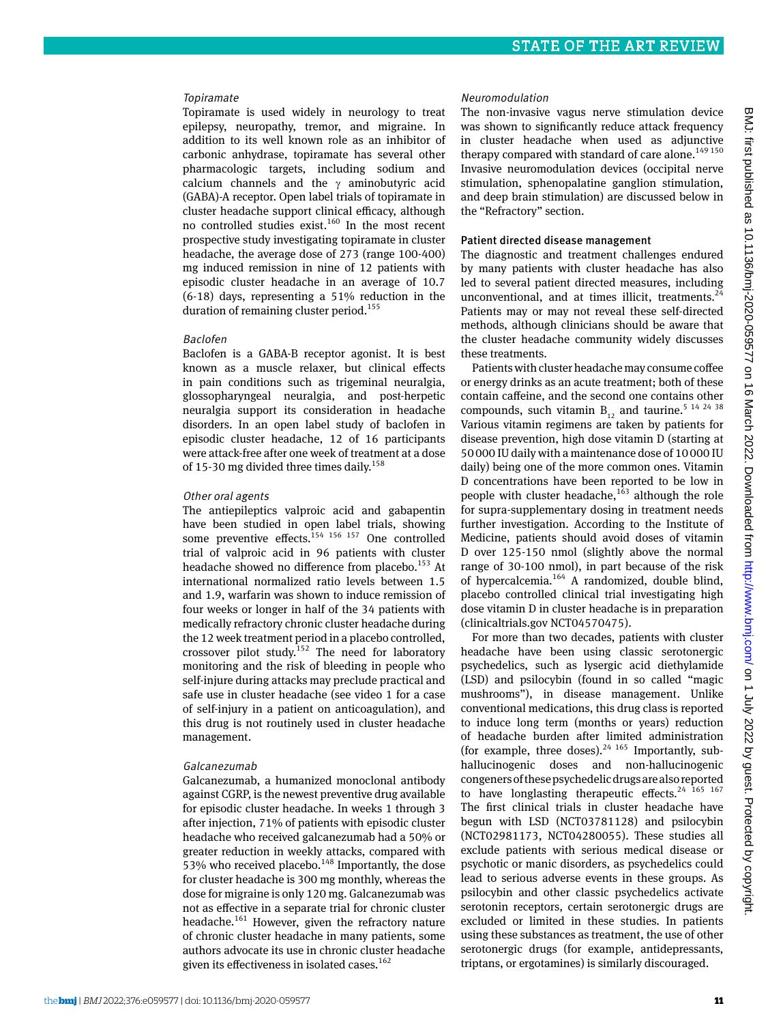# Topiramate

Topiramate is used widely in neurology to treat epilepsy, neuropathy, tremor, and migraine. In addition to its well known role as an inhibitor of carbonic anhydrase, topiramate has several other pharmacologic targets, including sodium and calcium channels and the γ aminobutyric acid (GABA)-A receptor. Open label trials of topiramate in cluster headache support clinical efficacy, although no controlled studies exist.<sup>160</sup> In the most recent prospective study investigating topiramate in cluster headache, the average dose of 273 (range 100-400) mg induced remission in nine of 12 patients with episodic cluster headache in an average of 10.7 (6-18) days, representing a 51% reduction in the duration of remaining cluster period.<sup>155</sup>

# Baclofen

Baclofen is a GABA-B receptor agonist. It is best known as a muscle relaxer, but clinical effects in pain conditions such as trigeminal neuralgia, glossopharyngeal neuralgia, and post-herpetic neuralgia support its consideration in headache disorders. In an open label study of baclofen in episodic cluster headache, 12 of 16 participants were attack-free after one week of treatment at a dose of 15-30 mg divided three times daily.<sup>158</sup>

# Other oral agents

The antiepileptics valproic acid and gabapentin have been studied in open label trials, showing some preventive effects. $154 \times 156 \times 157$  One controlled trial of valproic acid in 96 patients with cluster headache showed no difference from placebo.<sup>153</sup> At international normalized ratio levels between 1.5 and 1.9, warfarin was shown to induce remission of four weeks or longer in half of the 34 patients with medically refractory chronic cluster headache during the 12 week treatment period in a placebo controlled, crossover pilot study.<sup>152</sup> The need for laboratory monitoring and the risk of bleeding in people who self-injure during attacks may preclude practical and safe use in cluster headache (see video 1 for a case of self-injury in a patient on anticoagulation), and this drug is not routinely used in cluster headache management.

# Galcanezumab

Galcanezumab, a humanized monoclonal antibody against CGRP, is the newest preventive drug available for episodic cluster headache. In weeks 1 through 3 after injection, 71% of patients with episodic cluster headache who received galcanezumab had a 50% or greater reduction in weekly attacks, compared with 53% who received placebo.<sup>148</sup> Importantly, the dose for cluster headache is 300 mg monthly, whereas the dose for migraine is only 120 mg. Galcanezumab was not as effective in a separate trial for chronic cluster headache.<sup>161</sup> However, given the refractory nature of chronic cluster headache in many patients, some authors advocate its use in chronic cluster headache given its effectiveness in isolated cases. $162$ 

## Neuromodulation

The non-invasive vagus nerve stimulation device was shown to significantly reduce attack frequency in cluster headache when used as adjunctive therapy compared with standard of care alone. $149 150$ Invasive neuromodulation devices (occipital nerve stimulation, sphenopalatine ganglion stimulation, and deep brain stimulation) are discussed below in the "Refractory" section.

# Patient directed disease management

The diagnostic and treatment challenges endured by many patients with cluster headache has also led to several patient directed measures, including unconventional, and at times illicit, treatments. $^{24}$ Patients may or may not reveal these self-directed methods, although clinicians should be aware that the cluster headache community widely discusses these treatments.

Patients with cluster headache may consume coffee or energy drinks as an acute treatment; both of these contain caffeine, and the second one contains other compounds, such vitamin  $B_{12}$  and taurine.<sup>5 14 24 38</sup> Various vitamin regimens are taken by patients for disease prevention, high dose vitamin D (starting at 50000 IU daily with a maintenance dose of 10000 IU daily) being one of the more common ones. Vitamin D concentrations have been reported to be low in people with cluster headache, $163$  although the role for supra-supplementary dosing in treatment needs further investigation. According to the Institute of Medicine, patients should avoid doses of vitamin D over 125-150 nmol (slightly above the normal range of 30-100 nmol), in part because of the risk of hypercalcemia.164 A randomized, double blind, placebo controlled clinical trial investigating high dose vitamin D in cluster headache is in preparation (clinicaltrials.gov NCT04570475).

For more than two decades, patients with cluster headache have been using classic serotonergic psychedelics, such as lysergic acid diethylamide (LSD) and psilocybin (found in so called "magic mushrooms"), in disease management. Unlike conventional medications, this drug class is reported to induce long term (months or years) reduction of headache burden after limited administration (for example, three doses).<sup>24 165</sup> Importantly, subhallucinogenic doses and non-hallucinogenic congeners of these psychedelic drugs are also reported to have longlasting therapeutic effects. $24$  165 167 The first clinical trials in cluster headache have begun with LSD (NCT03781128) and psilocybin (NCT02981173, NCT04280055). These studies all exclude patients with serious medical disease or psychotic or manic disorders, as psychedelics could lead to serious adverse events in these groups. As psilocybin and other classic psychedelics activate serotonin receptors, certain serotonergic drugs are excluded or limited in these studies. In patients using these substances as treatment, the use of other serotonergic drugs (for example, antidepressants, triptans, or ergotamines) is similarly discouraged.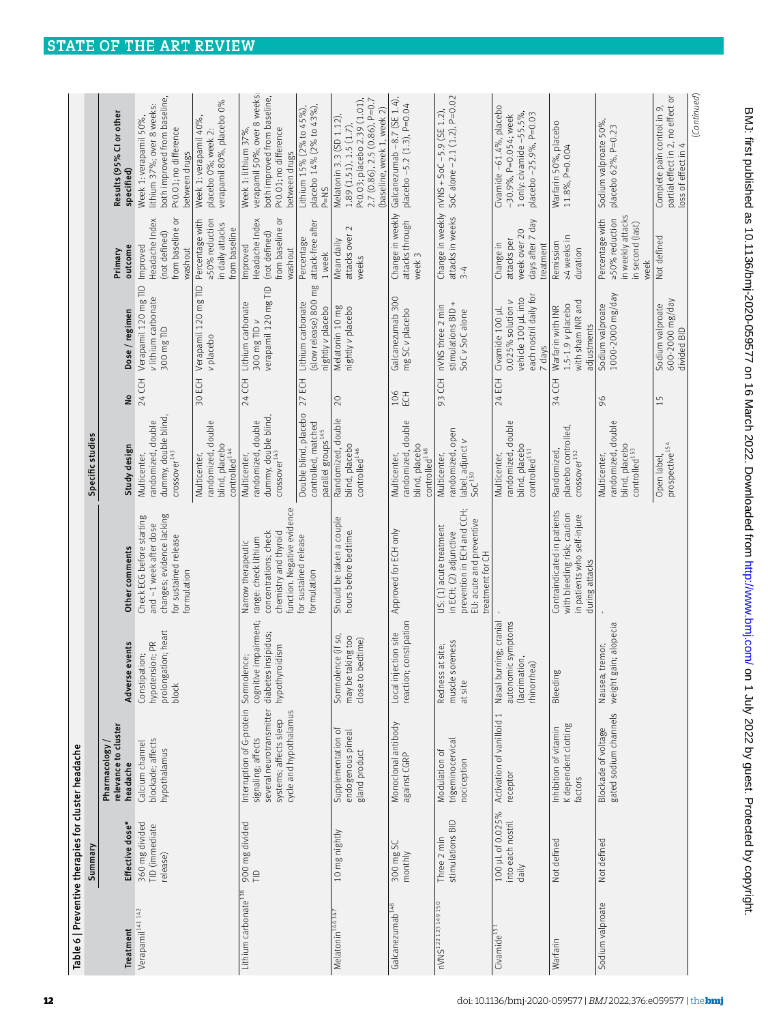| Table 6   Preventive therapies for cluster headache |                                                |                                                                                                                                 |                                                                               |                                                                                                                                 | Specific studies                                                                    |            |                                                                                                     |                                                                                    |                                                                                                                                                 |
|-----------------------------------------------------|------------------------------------------------|---------------------------------------------------------------------------------------------------------------------------------|-------------------------------------------------------------------------------|---------------------------------------------------------------------------------------------------------------------------------|-------------------------------------------------------------------------------------|------------|-----------------------------------------------------------------------------------------------------|------------------------------------------------------------------------------------|-------------------------------------------------------------------------------------------------------------------------------------------------|
|                                                     | Summary                                        |                                                                                                                                 |                                                                               |                                                                                                                                 |                                                                                     |            |                                                                                                     |                                                                                    |                                                                                                                                                 |
| Treatment                                           | Effective dose*                                | relevance to cluster<br>Pharmacology<br>headache                                                                                | events<br>Adverse                                                             | Other comments                                                                                                                  | Study design                                                                        | å          | Dose / regimen                                                                                      | outcome<br>Primary                                                                 | Results (95% CI or other<br>specified)                                                                                                          |
| Verapamil <sup>141 142</sup>                        | 360 mg divided<br>TID (immediate<br>release)   | blockade; affects<br>Calcium channel<br>hypothalamus                                                                            | prolongation; heart<br>hypotension; PR<br>Constipation;<br>block              | changes; evidence lacking<br>Check ECG before starting<br>and ~1 week after dose<br>for sustained release<br>formulation        | dummy, double blind,<br>randomized, double<br>$C$ rossover $^{143}$<br>Multicenter, | 24 CCH     | Verapamil 120 mg TID<br>v lithium carbonate<br>300 mg TID                                           | from baseline or<br>Headache Index<br>(not defined)<br>Improved<br>washout         | both improved from baseline,<br>lithium 37%; over 8 weeks:<br>Week 1: verapamil 50%,<br>P<0.01; no difference<br>between drugs                  |
|                                                     |                                                |                                                                                                                                 |                                                                               |                                                                                                                                 | randomized, double<br>blind, placebo<br>controlled <sup>144</sup><br>Multicenter,   | 30 ECH     | Verapamil 120 mg TID<br>v placebo                                                                   | ≥50% reduction<br>Percentage with<br>in daily attacks<br>from baseline             | verapamil 80%, placebo 0%<br>Week 1: verapamil 40%,<br>placebo 0%; week 2:                                                                      |
| Lithium carbonate <sup>138</sup>                    | 900 mg divided<br>$\Xi$                        | Interruption of G-protein<br>several neurotransmitter<br>cycle and hypothalamus<br>systems; affects sleep<br>signaling; affects | cognitive impairment;<br>diabetes insipidus;<br>hypothyroidism<br>Somnolence; | function. Negative evidence<br>concentrations; check<br>chemistry and thyroid<br>range: check lithium<br>Narrow therapeutic     | dummy, double blind<br>randomized, double<br>$C$ rossover $^{143}$<br>Multicenter,  | 24 CCH     | verapamil 120 mg TID<br>Lithium carbonate<br>300 mg TID v                                           | from baseline or<br>Headache Index<br>(not defined)<br>Improved<br>washout         | verapamil 50%; over 8 weeks:<br>both improved from baseline,<br>Week 1: lithium 37%,<br>P<0.01; no difference<br>between drugs                  |
|                                                     |                                                |                                                                                                                                 |                                                                               | for sustained release<br><b>Formulation</b>                                                                                     | Double blind, placebo<br>controlled, matched<br>parallel groups <sup>145</sup>      | 27 ECH     | (slow release) 800 mg<br>Lithium carbonate<br>nightly v placebo                                     | attack-free after<br>Percentage<br>1 week                                          | Lithium 15% (2% to 45%),<br>placebo 14% (2% to 43%),<br>$P=NS$                                                                                  |
| Melatonin <sup>146 147</sup>                        | 10 mg nightly                                  | Supplementation of<br>endogenous pineal<br>gland product                                                                        | Somnolence (if so,<br>may be taking too<br>bedtime)<br>close to               | Should be taken a couple<br>hours before bedtime.                                                                               | Randomized, double<br>blind, placebo<br>controlled <sup>146</sup>                   | 20         | Melatonin 10 mg<br>nightly v placebo                                                                | attacks over 2<br>Mean daily<br>weeks                                              | 2.7 (0.86), 2.5 (0.86), P=0.7<br>P<0.03; placebo 2.39 (1.01)<br>(baseline, week 1, week 2)<br>Melatonin 3.3 (SD 1.12),<br>1.89(1.51), 1.5(1.7), |
| Galcanezumab <sup>148</sup>                         | 300 mg SC<br>monthly                           | Monoclonal antibody<br>against CGRP                                                                                             | constipation<br>Local injection site<br>reaction;                             | Approved for ECH only                                                                                                           | randomized, double<br>blind, placebo<br>controlled <sup>148</sup><br>Multicenter,   | 106<br>ECH | Galcanezumab 300<br>mg SC v placebo                                                                 | Change in weekly<br>attacks through<br>week 3                                      | Galcanezumab -8.7 (SE 1.4),<br>placebo -5.2 (1.3), P=0.04                                                                                       |
| nVNS <sup>122123</sup> 149150                       | stimulations BID<br>Three 2 min                | trigeminocervical<br>Modulation of<br>nociception                                                                               | oreness<br>at site;<br>Redness<br>muscle s<br>at site                         | prevention in ECH and CCH;<br>EU: acute and preventive<br>US: (1) acute treatment<br>in ECH; (2) adjunctive<br>treatment for CH | randomized, open<br>label, adjunct v<br>SoC <sup>150</sup><br>Multicenter,          | 93 CCH     | stimulations BID +<br>nVNS three 2 min<br>SoC v SoC alone                                           | attacks in weeks<br>$3 - 4$                                                        | SoC alone -2.1 (1.2), P=0.02<br>Change in weekly nVNS + SoC-5.9 (SE 1.2),                                                                       |
| Civamide <sup>151</sup>                             | 100 µL of 0.025%<br>into each nostril<br>daily | Activation of vanilloid 1<br>receptor                                                                                           | Nasal burning; cranial<br>autonomic symptoms<br>(lacrimation,<br>rhinorrhea)  |                                                                                                                                 | randomized, double<br>blind, placebo<br>controlled <sup>151</sup><br>Multicenter,   | 24 ECH     | each nostril daily for<br>vehicle 100 µL into<br>$0.025%$ solution $v$<br>Civamide 100 µL<br>7 days | days after 7 day<br>week over 20<br>attacks per<br>Change in<br>treatment          | Civamide -61.4%, placebo<br>1 only: civamide $-55.5\%$ ,<br>placebo-25.9%, P=0.03<br>-30.9%, P=0.054; week                                      |
| Warfarin                                            | Not defined                                    | K dependent clotting<br>Inhibition of vitamin<br>factors                                                                        | Bleeding                                                                      | Contraindicated in patients<br>with bleeding risk; caution<br>in patients who self-injure<br>during attacks                     | placebo controlled,<br>Randomized,<br>$C$ rossover $^{152}$                         | 34 CCH     | with sham INR and<br>$1.5 - 1.9$ v placebo<br>Warfarin with INR<br>adjustments                      | 24 weeks in<br>Remission<br>duration                                               | Warfarin 50%, placebo<br>11.8%, P=0.004                                                                                                         |
| Sodium valproate                                    | Not defined                                    | gated sodium channels<br>Blockade of voltage                                                                                    | weight gain; alopecia<br>Nausea; tremor;                                      |                                                                                                                                 | randomized, double<br>blind, placebo<br>controlled <sup>153</sup><br>Multicenter,   | 96         | 1000-2000 mg/day<br>Sodium valproate                                                                | in weekly attacks<br>Percentage with<br>≥50% reduction<br>in second (last)<br>week | Sodium valproate 50%,<br>placebo 62%, P=0.23                                                                                                    |
|                                                     |                                                |                                                                                                                                 |                                                                               |                                                                                                                                 | prospective <sup>154</sup><br>Open label,                                           | 15         | 600-2000 mg/day<br>Sodium valproate<br>divided BID                                                  | Not defined                                                                        | partial effect in 2, no effect or<br>Complete pain control in 9,<br>loss of effect in                                                           |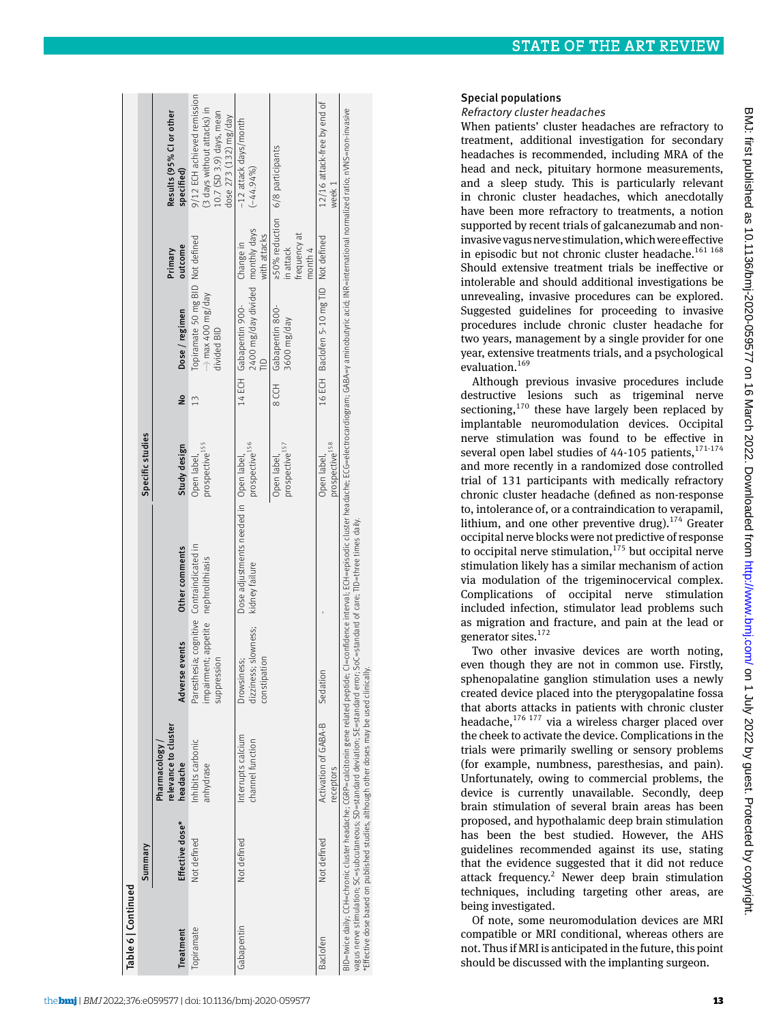|            | Summary         |                                                                                                                                                                                                                             |                                                                                                  |                                                                                                                                                                                                                                | Specific studies                                |                                                                            |                                                                         |                                                                                                                  |
|------------|-----------------|-----------------------------------------------------------------------------------------------------------------------------------------------------------------------------------------------------------------------------|--------------------------------------------------------------------------------------------------|--------------------------------------------------------------------------------------------------------------------------------------------------------------------------------------------------------------------------------|-------------------------------------------------|----------------------------------------------------------------------------|-------------------------------------------------------------------------|------------------------------------------------------------------------------------------------------------------|
| Treatment  | Effective dose* | relevance to cluster<br>Pharmacology /<br>headache                                                                                                                                                                          | Adverse events                                                                                   | Other comments                                                                                                                                                                                                                 | Study design                                    | Dose / regimen<br>å                                                        | outcome<br>Primary                                                      | Results (95% CI or other<br>specified)                                                                           |
| Topiramate | Not defined     | Inhibits carbonic<br>anhydrase                                                                                                                                                                                              | Paresthesia; cognitive Contraindicated in<br>impairment; appetite nephrolithiasis<br>suppression |                                                                                                                                                                                                                                | 13<br>prospective <sup>155</sup><br>Open label, | Topiramate 50 mg BID Not defined<br>-----》max 400 mg/day<br>divided BID    |                                                                         | 9/12 ECH achieved remission<br>(3 days without attacks) in<br>10.7 (SD 3.9) days, mean<br>dose $273(132)$ mg/day |
| Gabapentin | Not defined     | Interrupts calcium<br>channel function                                                                                                                                                                                      | dizziness; slowness;<br>constipation<br>Drowsiness;                                              | Dose adjustments needed in Open label,<br>kidney failure                                                                                                                                                                       | prospective <sup>156</sup>                      | 2400 mg/day divided monthly days<br>14 ECH Gabapentin 900-<br>$\triangleq$ | with attacks<br>Change in                                               | -12 attack days/month<br>$(-44.94\%$                                                                             |
|            |                 |                                                                                                                                                                                                                             |                                                                                                  |                                                                                                                                                                                                                                | prospective <sup>157</sup><br>Open label,       | 8 CCH Gabapentin 800-<br>yep/gm 0098                                       | ≥50% reduction 6/8 participants<br>frequency at<br>in attack<br>month 4 |                                                                                                                  |
| Baclofen   | Not defined     | Activation of GABA-B<br>receptors                                                                                                                                                                                           | Sedation                                                                                         |                                                                                                                                                                                                                                | prospective <sup>158</sup><br>Open label,       | 16 ECH Baclofen 5-10 mg TID Not defined                                    |                                                                         | 12/16 attack-free by end of<br>week 1                                                                            |
|            |                 | vagus nerve stimulation; SC=subcutaneous; SD=standard deviation; SE=standard error; SoC=standard of care; TID=three times daily.<br>Effective dose based on published studies, although other doses may be used clinically. |                                                                                                  | BID=twice daily, CCH=chronic cluster headache; CGRP=calcitonin gene related peptide; Cl=confidence interval; ECH=episodic cluster headache; ECG=electrocardiogram; GABA=y aminobutyric acid; INR=international normalized rati |                                                 |                                                                            |                                                                         |                                                                                                                  |

## Special populations

Refractory cluster headaches

When patients' cluster headaches are refractory to treatment, additional investigation for secondary headaches is recommended, including MRA of the head and neck, pituitary hormone measurements, and a sleep study. This is particularly relevant in chronic cluster headaches, which anecdotally have been more refractory to treatments, a notion supported by recent trials of galcanezumab and noninvasive vagus nerve stimulation, which were effective in episodic but not chronic cluster headache. $161 168$ Should extensive treatment trials be ineffective or intolerable and should additional investigations be unrevealing, invasive procedures can be explored. Suggested guidelines for proceeding to invasive procedures include chronic cluster headache for two years, management by a single provider for one year, extensive treatments trials, and a psychological evaluation.<sup>169</sup>

Although previous invasive procedures include destructive lesions such as trigeminal nerve sectioning, $170$  these have largely been replaced by implantable neuromodulation devices. Occipital nerve stimulation was found to be effective in several open label studies of  $44-105$  patients,  $171-174$ and more recently in a randomized dose controlled trial of 131 participants with medically refractory chronic cluster headache (defined as non-response to, intolerance of, or a contraindication to verapamil, lithium, and one other preventive drug).<sup>174</sup> Greater occipital nerve blocks were not predictive of response to occipital nerve stimulation,  $175$  but occipital nerve stimulation likely has a similar mechanism of action via modulation of the trigeminocervical complex. Complications of occipital nerve stimulation included infection, stimulator lead problems such as migration and fracture, and pain at the lead or generator sites.<sup>172</sup>

Two other invasive devices are worth noting, even though they are not in common use. Firstly, sphenopalatine ganglion stimulation uses a newly created device placed into the pterygopalatine fossa that aborts attacks in patients with chronic cluster headache, $176$  177 via a wireless charger placed over the cheek to activate the device. Complications in the trials were primarily swelling or sensory problems (for example, numbness, paresthesias, and pain). Unfortunately, owing to commercial problems, the device is currently unavailable. Secondly, deep brain stimulation of several brain areas has been proposed, and hypothalamic deep brain stimulation has been the best studied. However, the AHS guidelines recommended against its use, stating that the evidence suggested that it did not reduce attack frequency.<sup>2</sup> Newer deep brain stimulation techniques, including targeting other areas, are being investigated.

Of note, some neuromodulation devices are MRI compatible or MRI conditional, whereas others are not. Thus if MRI is anticipated in the future, this point should be discussed with the implanting surgeon.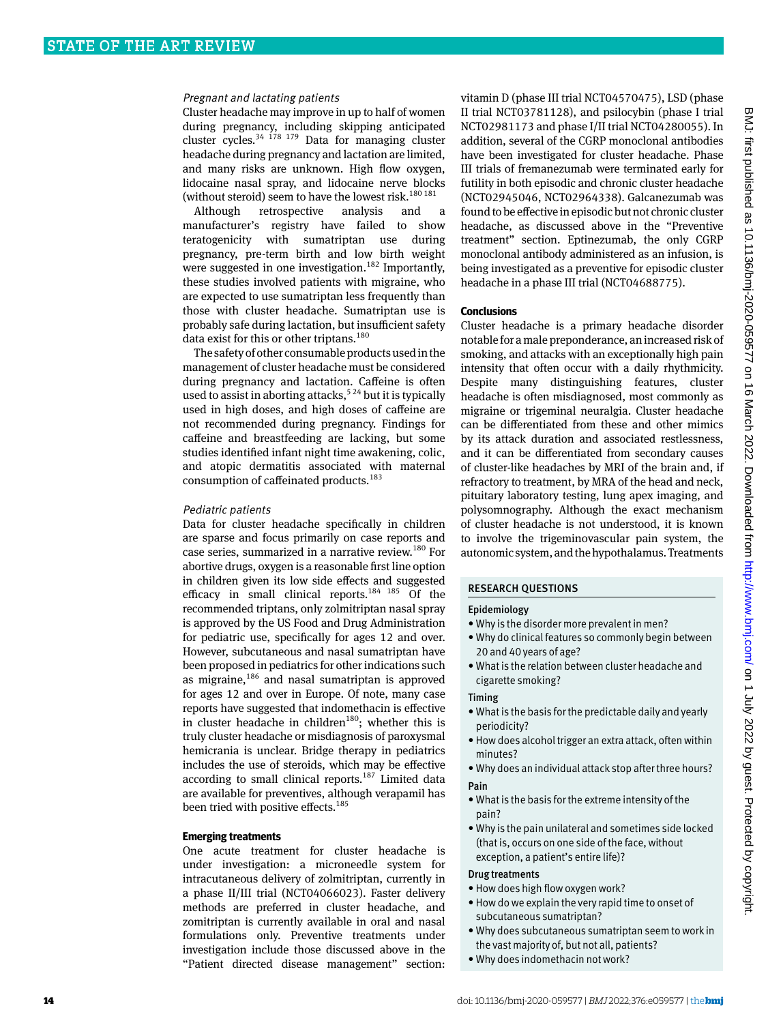## Pregnant and lactating patients

Cluster headache may improve in up to half of women during pregnancy, including skipping anticipated cluster cycles. $34 \frac{178}{179}$  Data for managing cluster headache during pregnancy and lactation are limited, and many risks are unknown. High flow oxygen, lidocaine nasal spray, and lidocaine nerve blocks (without steroid) seem to have the lowest risk.<sup>180 181</sup>

Although retrospective analysis and a manufacturer's registry have failed to show teratogenicity with sumatriptan use during pregnancy, pre-term birth and low birth weight were suggested in one investigation.<sup>182</sup> Importantly, these studies involved patients with migraine, who are expected to use sumatriptan less frequently than those with cluster headache. Sumatriptan use is probably safe during lactation, but insufficient safety data exist for this or other triptans.<sup>180</sup>

The safety of other consumable products used in the management of cluster headache must be considered during pregnancy and lactation. Caffeine is often used to assist in aborting attacks,  $5^{24}$  but it is typically used in high doses, and high doses of caffeine are not recommended during pregnancy. Findings for caffeine and breastfeeding are lacking, but some studies identified infant night time awakening, colic, and atopic dermatitis associated with maternal consumption of caffeinated products.<sup>183</sup>

#### Pediatric patients

Data for cluster headache specifically in children are sparse and focus primarily on case reports and case series, summarized in a narrative review.<sup>180</sup> For abortive drugs, oxygen is a reasonable first line option in children given its low side effects and suggested efficacy in small clinical reports.<sup>184 185</sup> Of the recommended triptans, only zolmitriptan nasal spray is approved by the US Food and Drug Administration for pediatric use, specifically for ages 12 and over. However, subcutaneous and nasal sumatriptan have been proposed in pediatrics for other indications such as migraine,<sup>186</sup> and nasal sumatriptan is approved for ages 12 and over in Europe. Of note, many case reports have suggested that indomethacin is effective in cluster headache in children<sup>180</sup>; whether this is truly cluster headache or misdiagnosis of paroxysmal hemicrania is unclear. Bridge therapy in pediatrics includes the use of steroids, which may be effective according to small clinical reports.<sup>187</sup> Limited data are available for preventives, although verapamil has been tried with positive effects.<sup>185</sup>

#### **Emerging treatments**

One acute treatment for cluster headache is under investigation: a microneedle system for intracutaneous delivery of zolmitriptan, currently in a phase II/III trial (NCT04066023). Faster delivery methods are preferred in cluster headache, and zomitriptan is currently available in oral and nasal formulations only. Preventive treatments under investigation include those discussed above in the "Patient directed disease management" section:

vitamin D (phase III trial NCT04570475), LSD (phase II trial NCT03781128), and psilocybin (phase I trial NCT02981173 and phase I/II trial NCT04280055). In addition, several of the CGRP monoclonal antibodies have been investigated for cluster headache. Phase III trials of fremanezumab were terminated early for futility in both episodic and chronic cluster headache (NCT02945046, NCT02964338). Galcanezumab was found to be effective in episodic but not chronic cluster headache, as discussed above in the "Preventive treatment" section. Eptinezumab, the only CGRP monoclonal antibody administered as an infusion, is being investigated as a preventive for episodic cluster headache in a phase III trial (NCT04688775).

## **Conclusions**

Cluster headache is a primary headache disorder notable for a male preponderance, an increased risk of smoking, and attacks with an exceptionally high pain intensity that often occur with a daily rhythmicity. Despite many distinguishing features, cluster headache is often misdiagnosed, most commonly as migraine or trigeminal neuralgia. Cluster headache can be differentiated from these and other mimics by its attack duration and associated restlessness, and it can be differentiated from secondary causes of cluster-like headaches by MRI of the brain and, if refractory to treatment, by MRA of the head and neck, pituitary laboratory testing, lung apex imaging, and polysomnography. Although the exact mechanism of cluster headache is not understood, it is known to involve the trigeminovascular pain system, the autonomic system, and the hypothalamus. Treatments

#### Research questions

#### Epidemiology

- • Why is the disorder more prevalent in men?
- • Why do clinical features so commonly begin between 20 and 40 years of age?
- • What is the relation between cluster headache and cigarette smoking?

## Timing

- • What is the basis for the predictable daily and yearly periodicity?
- How does alcohol trigger an extra attack, often within minutes?
- • Why does an individual attack stop after three hours? Pain
- • What is the basis for the extreme intensity of the pain?
- • Why is the pain unilateral and sometimes side locked (that is, occurs on one side of the face, without exception, a patient's entire life)?

#### Drug treatments

- How does high flow oxygen work?
- How do we explain the very rapid time to onset of subcutaneous sumatriptan?
- • Why does subcutaneous sumatriptan seem to work in the vast majority of, but not all, patients?
- • Why does indomethacin not work?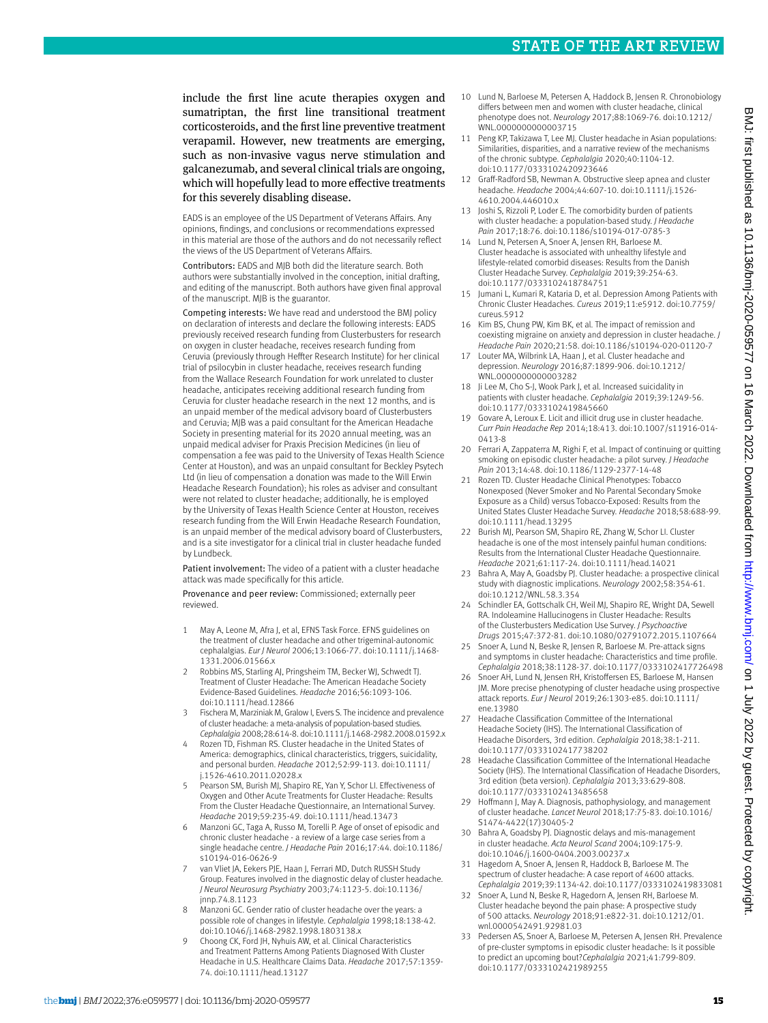include the first line acute therapies oxygen and sumatriptan, the first line transitional treatment corticosteroids, and the first line preventive treatment verapamil. However, new treatments are emerging, such as non-invasive vagus nerve stimulation and galcanezumab, and several clinical trials are ongoing, which will hopefully lead to more effective treatments for this severely disabling disease.

EADS is an employee of the US Department of Veterans Affairs. Any opinions, findings, and conclusions or recommendations expressed in this material are those of the authors and do not necessarily reflect the views of the US Department of Veterans Affairs.

Contributors: EADS and MJB both did the literature search. Both authors were substantially involved in the conception, initial drafting, and editing of the manuscript. Both authors have given final approval of the manuscript. MJB is the guarantor.

Competing interests: We have read and understood the BMJ policy on declaration of interests and declare the following interests: EADS previously received research funding from Clusterbusters for research on oxygen in cluster headache, receives research funding from Ceruvia (previously through Heffter Research Institute) for her clinical trial of psilocybin in cluster headache, receives research funding from the Wallace Research Foundation for work unrelated to cluster headache, anticipates receiving additional research funding from Ceruvia for cluster headache research in the next 12 months, and is an unpaid member of the medical advisory board of Clusterbusters and Ceruvia; MJB was a paid consultant for the American Headache Society in presenting material for its 2020 annual meeting, was an unpaid medical adviser for Praxis Precision Medicines (in lieu of compensation a fee was paid to the University of Texas Health Science Center at Houston), and was an unpaid consultant for Beckley Psytech Ltd (in lieu of compensation a donation was made to the Will Erwin Headache Research Foundation); his roles as adviser and consultant were not related to cluster headache; additionally, he is employed by the University of Texas Health Science Center at Houston, receives research funding from the Will Erwin Headache Research Foundation, is an unpaid member of the medical advisory board of Clusterbusters, and is a site investigator for a clinical trial in cluster headache funded by Lundbeck.

Patient involvement: The video of a patient with a cluster headache attack was made specifically for this article.

Provenance and peer review: Commissioned; externally peer reviewed.

- 1 May A, Leone M, Afra J, et al, EFNS Task Force. EFNS guidelines on the treatment of cluster headache and other trigeminal-autonomic cephalalgias. *Eur J Neurol* 2006;13:1066-77. doi:10.1111/j.1468-1331.2006.01566.x
- 2 Robbins MS, Starling AJ, Pringsheim TM, Becker WJ, Schwedt TJ. Treatment of Cluster Headache: The American Headache Society Evidence-Based Guidelines. *Headache* 2016;56:1093-106. doi:10.1111/head.12866
- 3 Fischera M, Marziniak M, Gralow I, Evers S. The incidence and prevalence of cluster headache: a meta-analysis of population-based studies. *Cephalalgia* 2008;28:614-8. doi:10.1111/j.1468-2982.2008.01592.x
- 4 Rozen TD, Fishman RS. Cluster headache in the United States of America: demographics, clinical characteristics, triggers, suicidality, and personal burden. *Headache* 2012;52:99-113. doi:10.1111/ j.1526-4610.2011.02028.x
- 5 Pearson SM, Burish MJ, Shapiro RE, Yan Y, Schor LI. Effectiveness of Oxygen and Other Acute Treatments for Cluster Headache: Results From the Cluster Headache Questionnaire, an International Survey. *Headache* 2019;59:235-49. doi:10.1111/head.13473
- 6 Manzoni GC, Taga A, Russo M, Torelli P. Age of onset of episodic and chronic cluster headache - a review of a large case series from a single headache centre. *J Headache Pain* 2016;17:44. doi:10.1186/ s10194-016-0626-9
- van Vliet JA, Eekers PJE, Haan J, Ferrari MD, Dutch RUSSH Study Group. Features involved in the diagnostic delay of cluster headache. *J Neurol Neurosurg Psychiatry* 2003;74:1123-5. doi:10.1136/ jnnp.74.8.1123
- 8 Manzoni GC. Gender ratio of cluster headache over the years: a possible role of changes in lifestyle. *Cephalalgia* 1998;18:138-42. doi:10.1046/j.1468-2982.1998.1803138.x
- 9 Choong CK, Ford JH, Nyhuis AW, et al. Clinical Characteristics and Treatment Patterns Among Patients Diagnosed With Cluster Headache in U.S. Healthcare Claims Data. *Headache* 2017;57:1359-74. doi:10.1111/head.13127
- 10 Lund N, Barloese M, Petersen A, Haddock B, Jensen R. Chronobiology differs between men and women with cluster headache, clinical phenotype does not. *Neurology* 2017;88:1069-76. doi:10.1212/ WNL.0000000000003715
- 11 Peng KP, Takizawa T, Lee MJ. Cluster headache in Asian populations: Similarities, disparities, and a narrative review of the mechanisms of the chronic subtype. *Cephalalgia* 2020;40:1104-12. doi:10.1177/0333102420923646
- 12 Graff-Radford SB, Newman A. Obstructive sleep apnea and cluster headache. *Headache* 2004;44:607-10. doi:10.1111/j.1526-4610.2004.446010.x
- 13 Joshi S, Rizzoli P, Loder E. The comorbidity burden of patients with cluster headache: a population-based study. *J Headache Pain* 2017;18:76. doi:10.1186/s10194-017-0785-3
- 14 Lund N, Petersen A, Snoer A, Jensen RH, Barloese M. Cluster headache is associated with unhealthy lifestyle and lifestyle-related comorbid diseases: Results from the Danish Cluster Headache Survey. *Cephalalgia* 2019;39:254-63. doi:10.1177/0333102418784751
- 15 Jumani L, Kumari R, Kataria D, et al. Depression Among Patients with Chronic Cluster Headaches. *Cureus* 2019;11:e5912. doi:10.7759/ cureus.5912
- 16 Kim BS, Chung PW, Kim BK, et al. The impact of remission and coexisting migraine on anxiety and depression in cluster headache. *J Headache Pain* 2020;21:58. doi:10.1186/s10194-020-01120-7
- 17 Louter MA, Wilbrink LA, Haan J, et al. Cluster headache and depression. *Neurology* 2016;87:1899-906. doi:10.1212/ WNL.000000000003282
- 18 Ji Lee M, Cho S-J, Wook Park J, et al. Increased suicidality in patients with cluster headache. *Cephalalgia* 2019;39:1249-56. doi:10.1177/0333102419845660
- 19 Govare A, Leroux E. Licit and illicit drug use in cluster headache. *Curr Pain Headache Rep* 2014;18:413. doi:10.1007/s11916-014-0413-8
- 20 Ferrari A, Zappaterra M, Righi F, et al. Impact of continuing or quitting smoking on episodic cluster headache: a pilot survey. *J Headache Pain* 2013;14:48. doi:10.1186/1129-2377-14-48
- 21 Rozen TD. Cluster Headache Clinical Phenotypes: Tobacco Nonexposed (Never Smoker and No Parental Secondary Smoke Exposure as a Child) versus Tobacco-Exposed: Results from the United States Cluster Headache Survey. *Headache* 2018;58:688-99. doi:10.1111/head.13295
- 22 Burish MJ, Pearson SM, Shapiro RE, Zhang W, Schor LI. Cluster headache is one of the most intensely painful human conditions: Results from the International Cluster Headache Questionnaire. *Headache* 2021;61:117-24. doi:10.1111/head.14021
- 23 Bahra A, May A, Goadsby PJ. Cluster headache: a prospective clinical study with diagnostic implications. *Neurology* 2002;58:354-61. doi:10.1212/WNL.58.3.354
- 24 Schindler EA, Gottschalk CH, Weil MJ, Shapiro RE, Wright DA, Sewell RA. Indoleamine Hallucinogens in Cluster Headache: Results of the Clusterbusters Medication Use Survey. *J Psychoactive Drugs* 2015;47:372-81. doi:10.1080/02791072.2015.1107664
- 25 Snoer A, Lund N, Beske R, Jensen R, Barloese M. Pre-attack signs and symptoms in cluster headache: Characteristics and time profile. *Cephalalgia* 2018;38:1128-37. doi:10.1177/0333102417726498
- 26 Snoer AH, Lund N, Jensen RH, Kristoffersen ES, Barloese M, Hansen JM. More precise phenotyping of cluster headache using prospective attack reports. *Eur J Neurol* 2019;26:1303-e85. doi:10.1111/ ene.13980
- 27 Headache Classification Committee of the International Headache Society (IHS). The International Classification of Headache Disorders, 3rd edition. *Cephalalgia* 2018;38:1-211. doi:10.1177/0333102417738202
- 28 Headache Classification Committee of the International Headache Society (IHS). The International Classification of Headache Disorders, 3rd edition (beta version). *Cephalalgia* 2013;33:629-808. doi:10.1177/0333102413485658
- 29 Hoffmann J, May A. Diagnosis, pathophysiology, and management of cluster headache. *Lancet Neurol* 2018;17:75-83. doi:10.1016/ S1474-4422(17)30405-2
- 30 Bahra A, Goadsby PJ. Diagnostic delays and mis-management in cluster headache. *Acta Neurol Scand* 2004;109:175-9. doi:10.1046/j.1600-0404.2003.00237.x
- 31 Hagedorn A, Snoer A, Jensen R, Haddock B, Barloese M. The spectrum of cluster headache: A case report of 4600 attacks. *Cephalalgia* 2019;39:1134-42. doi:10.1177/0333102419833081
- 32 Snoer A, Lund N, Beske R, Hagedorn A, Jensen RH, Barloese M. Cluster headache beyond the pain phase: A prospective study of 500 attacks. *Neurology* 2018;91:e822-31. doi:10.1212/01. wnl.0000542491.92981.03
- Pedersen AS, Snoer A, Barloese M, Petersen A, Jensen RH. Prevalence of pre-cluster symptoms in episodic cluster headache: Is it possible to predict an upcoming bout?*Cephalalgia* 2021;41:799-809. doi:10.1177/0333102421989255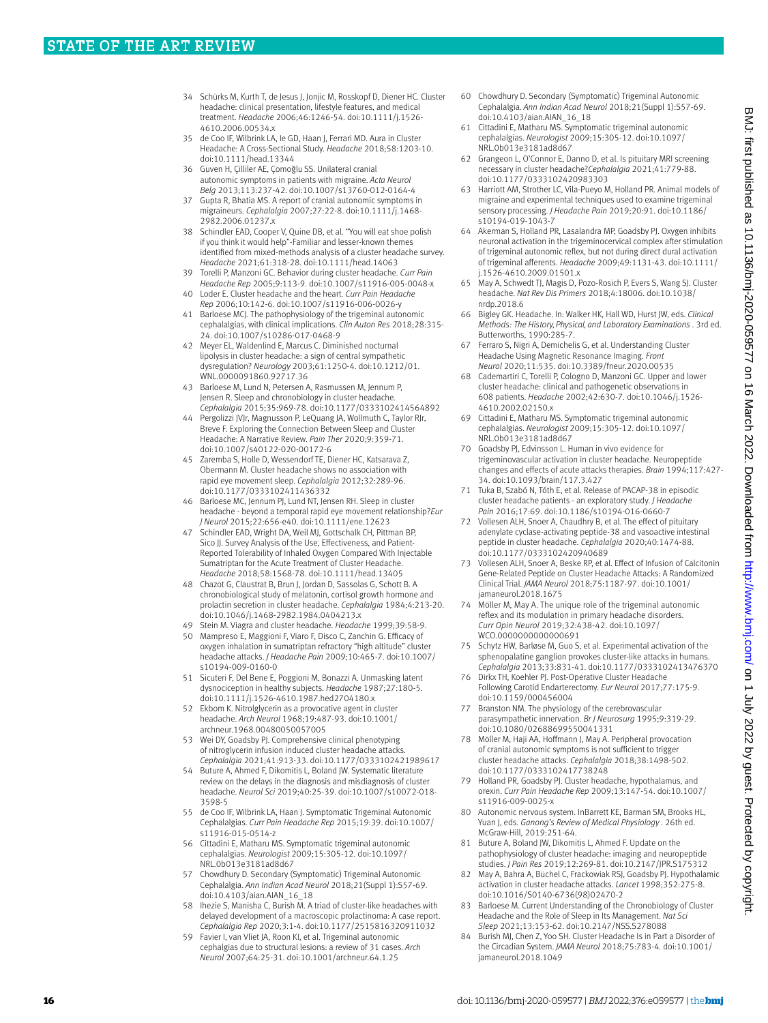- 34 Schürks M, Kurth T, de Jesus J, Jonjic M, Rosskopf D, Diener HC. Cluster headache: clinical presentation, lifestyle features, and medical treatment. *Headache* 2006;46:1246-54. doi:10.1111/j.1526-4610.2006.00534.x
- 35 de Coo IF, Wilbrink LA, Ie GD, Haan J, Ferrari MD. Aura in Cluster Headache: A Cross-Sectional Study. *Headache* 2018;58:1203-10. doi:10.1111/head.13344
- 36 Guven H, Çilliler AE, Çomoğlu SS. Unilateral cranial autonomic symptoms in patients with migraine. *Acta Neurol Belg* 2013;113:237-42. doi:10.1007/s13760-012-0164-4
- Gupta R, Bhatia MS. A report of cranial autonomic symptoms in migraineurs. *Cephalalgia* 2007;27:22-8. doi:10.1111/j.1468-2982.2006.01237.x
- 38 Schindler EAD, Cooper V, Quine DB, et al. "You will eat shoe polish if you think it would help"-Familiar and lesser-known themes identified from mixed-methods analysis of a cluster headache survey. *Headache* 2021;61:318-28. doi:10.1111/head.14063
- 39 Torelli P, Manzoni GC. Behavior during cluster headache. *Curr Pain Headache Rep* 2005;9:113-9. doi:10.1007/s11916-005-0048-x 40 Loder E. Cluster headache and the heart. *Curr Pain Headache*
- *Rep* 2006;10:142-6. doi:10.1007/s11916-006-0026-y
- 41 Barloese MCJ. The pathophysiology of the trigeminal autonomic cephalalgias, with clinical implications. *Clin Auton Res* 2018;28:315-24. doi:10.1007/s10286-017-0468-9
- 42 Meyer EL, Waldenlind E, Marcus C. Diminished nocturnal lipolysis in cluster headache: a sign of central sympathetic dysregulation? *Neurology* 2003;61:1250-4. doi:10.1212/01. WNL.0000091860.92717.36
- 43 Barloese M, Lund N, Petersen A, Rasmussen M, Jennum P, Jensen R. Sleep and chronobiology in cluster headache. *Cephalalgia* 2015;35:969-78. doi:10.1177/0333102414564892
- Pergolizzi JVJr, Magnusson P, LeQuang JA, Wollmuth C, Taylor RJr, Breve F. Exploring the Connection Between Sleep and Cluster Headache: A Narrative Review. *Pain Ther* 2020;9:359-71. doi:10.1007/s40122-020-00172-6
- 45 Zaremba S, Holle D, Wessendorf TE, Diener HC, Katsarava Z, Obermann M. Cluster headache shows no association with rapid eye movement sleep. *Cephalalgia* 2012;32:289-96. doi:10.1177/0333102411436332
- Barloese MC, Jennum PJ, Lund NT, Jensen RH. Sleep in cluster headache - beyond a temporal rapid eye movement relationship?*Eur J Neurol* 2015;22:656-e40. doi:10.1111/ene.12623
- 47 Schindler EAD, Wright DA, Weil MJ, Gottschalk CH, Pittman BP, Sico II. Survey Analysis of the Use, Effectiveness, and Patient-Reported Tolerability of Inhaled Oxygen Compared With Injectable Sumatriptan for the Acute Treatment of Cluster Headache. *Headache* 2018;58:1568-78. doi:10.1111/head.13405
- 48 Chazot G, Claustrat B, Brun J, Jordan D, Sassolas G, Schott B. A chronobiological study of melatonin, cortisol growth hormone and prolactin secretion in cluster headache. *Cephalalgia* 1984;4:213-20. doi:10.1046/j.1468-2982.1984.0404213.x
- 49 Stein M. Viagra and cluster headache. *Headache* 1999;39:58-9.
- 50 Mampreso E, Maggioni F, Viaro F, Disco C, Zanchin G. Efficacy of oxygen inhalation in sumatriptan refractory "high altitude" cluster headache attacks. *J Headache Pain* 2009;10:465-7. doi:10.1007/ s10194-009-0160-0
- 51 Sicuteri F, Del Bene E, Poggioni M, Bonazzi A. Unmasking latent dysnociception in healthy subjects. *Headache* 1987;27:180-5. doi:10.1111/j.1526-4610.1987.hed2704180.x
- 52 Ekbom K. Nitrolglycerin as a provocative agent in cluster headache. *Arch Neurol* 1968;19:487-93. doi:10.1001/ archneur.1968.00480050057005
- 53 Wei DY, Goadsby PJ. Comprehensive clinical phenotyping of nitroglycerin infusion induced cluster headache attacks. *Cephalalgia* 2021;41:913-33. doi:10.1177/0333102421989617
- 54 Buture A, Ahmed F, Dikomitis L, Boland JW. Systematic literature review on the delays in the diagnosis and misdiagnosis of cluster headache. *Neurol Sci* 2019;40:25-39. doi:10.1007/s10072-018-3598-5
- 55 de Coo IF, Wilbrink LA, Haan J. Symptomatic Trigeminal Autonomic Cephalalgias. *Curr Pain Headache Rep* 2015;19:39. doi:10.1007/ s11916-015-0514-z
- 56 Cittadini E, Matharu MS. Symptomatic trigeminal autonomic cephalalgias. *Neurologist* 2009;15:305-12. doi:10.1097/ NRL.0b013e3181ad8d67
- 57 Chowdhury D. Secondary (Symptomatic) Trigeminal Autonomic Cephalalgia. *Ann Indian Acad Neurol* 2018;21(Suppl 1):S57-69. doi:10.4103/aian.AIAN\_16\_18
- Ihezie S, Manisha C, Burish M. A triad of cluster-like headaches with delayed development of a macroscopic prolactinoma: A case report. *Cephalalgia Rep* 2020;3:1-4. doi:10.1177/2515816320911032
- Favier I, van Vliet JA, Roon KI, et al. Trigeminal autonomic cephalgias due to structural lesions: a review of 31 cases. *Arch Neurol* 2007;64:25-31. doi:10.1001/archneur.64.1.25
- 60 Chowdhury D. Secondary (Symptomatic) Trigeminal Autonomic Cephalalgia. *Ann Indian Acad Neurol* 2018;21(Suppl 1):S57-69. doi:10.4103/aian.AIAN\_16\_18
- 61 Cittadini E, Matharu MS. Symptomatic trigeminal autonomic cephalalgias. *Neurologist* 2009;15:305-12. doi:10.1097/ NRL.0b013e3181ad8d67
- 62 Grangeon L, O'Connor E, Danno D, et al. Is pituitary MRI screening necessary in cluster headache?*Cephalalgia* 2021;41:779-88. doi:10.1177/0333102420983303
- 63 Harriott AM, Strother LC, Vila-Pueyo M, Holland PR. Animal models of migraine and experimental techniques used to examine trigeminal sensory processing. *J Headache Pain* 2019;20:91. doi:10.1186/ s10194-019-1043-7
- 64 Akerman S, Holland PR, Lasalandra MP, Goadsby PJ. Oxygen inhibits neuronal activation in the trigeminocervical complex after stimulation of trigeminal autonomic reflex, but not during direct dural activation of trigeminal afferents. *Headache* 2009;49:1131-43. doi:10.1111/ j.1526-4610.2009.01501.x
- 65 May A, Schwedt TJ, Magis D, Pozo-Rosich P, Evers S, Wang SJ. Cluster headache. *Nat Rev Dis Primers* 2018;4:18006. doi:10.1038/ nrdp.2018.6
- 66 Bigley GK. Headache. In: Walker HK, Hall WD, Hurst JW, eds. *Clinical Methods: The History, Physical, and Laboratory Examinations* . 3rd ed. Butterworths, 1990:285-7.
- 67 Ferraro S, Nigri A, Demichelis G, et al. Understanding Cluster Headache Using Magnetic Resonance Imaging. *Front Neurol* 2020;11:535. doi:10.3389/fneur.2020.00535
- 68 Cademartiri C, Torelli P, Cologno D, Manzoni GC. Upper and lower cluster headache: clinical and pathogenetic observations in 608 patients. *Headache* 2002;42:630-7. doi:10.1046/j.1526-4610.2002.02150.x
- 69 Cittadini E, Matharu MS. Symptomatic trigeminal autonomic cephalalgias. *Neurologist* 2009;15:305-12. doi:10.1097/ NRL.0b013e3181ad8d67
- 70 Goadsby PJ, Edvinsson L. Human in vivo evidence for trigeminovascular activation in cluster headache. Neuropeptide changes and effects of acute attacks therapies. *Brain* 1994;117:427-34. doi:10.1093/brain/117.3.427
- 71 Tuka B, Szabó N, Tóth E, et al. Release of PACAP-38 in episodic cluster headache patients - an exploratory study. *J Headache Pain* 2016;17:69. doi:10.1186/s10194-016-0660-7
- 72 Vollesen ALH, Snoer A, Chaudhry B, et al. The effect of pituitary adenylate cyclase-activating peptide-38 and vasoactive intestinal peptide in cluster headache. *Cephalalgia* 2020;40:1474-88. doi:10.1177/0333102420940689
- 73 Vollesen ALH, Snoer A, Beske RP, et al. Effect of Infusion of Calcitonin Gene-Related Peptide on Cluster Headache Attacks: A Randomized Clinical Trial. *JAMA Neurol* 2018;75:1187-97. doi:10.1001/ jamaneurol.2018.1675
- 74 Möller M, May A. The unique role of the trigeminal autonomic reflex and its modulation in primary headache disorders. *Curr Opin Neurol* 2019;32:438-42. doi:10.1097/ WCO.0000000000000691
- 75 Schytz HW, Barløse M, Guo S, et al. Experimental activation of the sphenopalatine ganglion provokes cluster-like attacks in humans. *Cephalalgia* 2013;33:831-41. doi:10.1177/0333102413476370
- 76 Dirkx TH, Koehler PJ. Post-Operative Cluster Headache Following Carotid Endarterectomy. *Eur Neurol* 2017;77:175-9. doi:10.1159/000456004
- 77 Branston NM. The physiology of the cerebrovascular parasympathetic innervation. *Br J Neurosurg* 1995;9:319-29. doi:10.1080/02688699550041331
- 78 Möller M, Haji AA, Hoffmann J, May A. Peripheral provocation of cranial autonomic symptoms is not sufficient to trigger cluster headache attacks. *Cephalalgia* 2018;38:1498-502. doi:10.1177/0333102417738248
- 79 Holland PR, Goadsby PJ. Cluster headache, hypothalamus, and orexin. *Curr Pain Headache Rep* 2009;13:147-54. doi:10.1007/ s11916-009-0025-x
- 80 Autonomic nervous system. InBarrett KE, Barman SM, Brooks HL, Yuan J, eds. *Ganong's Review of Medical Physiology* . 26th ed. McGraw-Hill, 2019:251-64.
- 81 Buture A, Boland JW, Dikomitis L, Ahmed F. Update on the pathophysiology of cluster headache: imaging and neuropeptide studies. *J Pain Res* 2019;12:269-81. doi:10.2147/JPR.S175312
- 82 May A, Bahra A, Büchel C, Frackowiak RSJ, Goadsby PJ, Hypothalamic activation in cluster headache attacks. *Lancet* 1998;352:275-8. doi:10.1016/S0140-6736(98)02470-2
- 83 Barloese M. Current Understanding of the Chronobiology of Cluster Headache and the Role of Sleep in Its Management. *Nat Sci Sleep* 2021;13:153-62. doi:10.2147/NSS.S278088
- 84 Burish MJ, Chen Z, Yoo SH. Cluster Headache Is in Part a Disorder of the Circadian System. *JAMA Neurol* 2018;75:783-4. doi:10.1001/ jamaneurol.2018.1049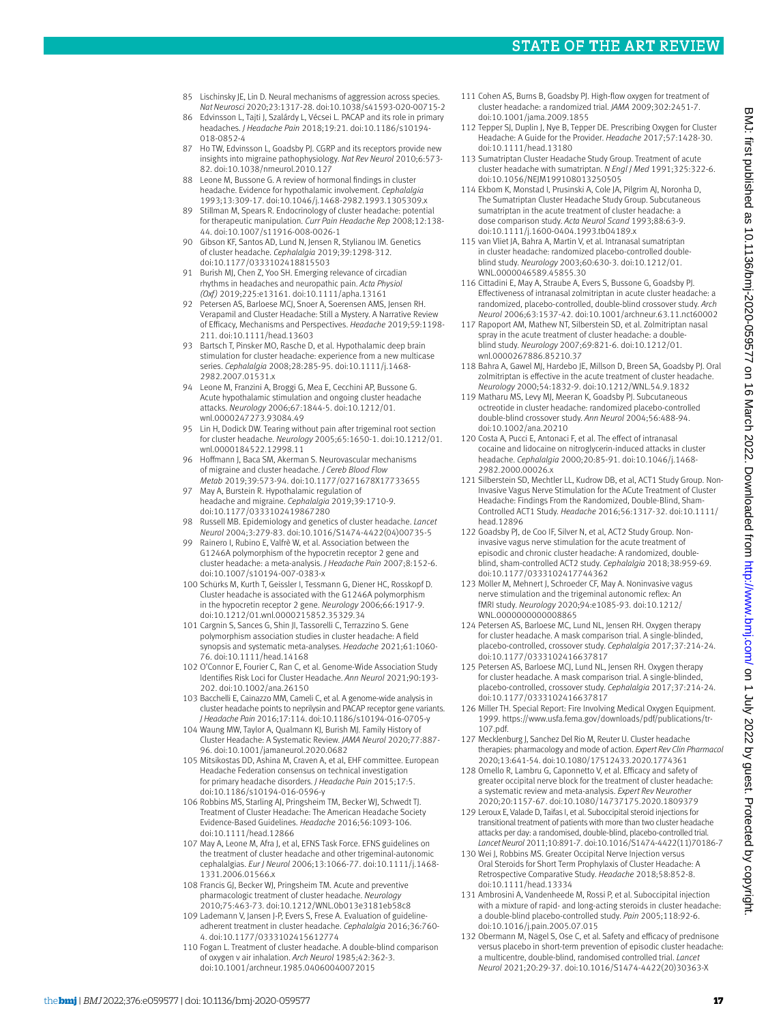- 
- 85 Lischinsky JE, Lin D. Neural mechanisms of aggression across species. *Nat Neurosci* 2020;23:1317-28. doi:10.1038/s41593-020-00715-2
- 86 Edvinsson L, Tajti J, Szalárdy L, Vécsei L. PACAP and its role in primary headaches. *J Headache Pain* 2018;19:21. doi:10.1186/s10194-018-0852-4
- 87 Ho TW, Edvinsson L, Goadsby PJ. CGRP and its receptors provide new insights into migraine pathophysiology. *Nat Rev Neurol* 2010;6:573-82. doi:10.1038/nrneurol.2010.127
- 88 Leone M, Bussone G. A review of hormonal findings in cluster headache. Evidence for hypothalamic involvement. *Cephalalgia*  1993;13:309-17. doi:10.1046/j.1468-2982.1993.1305309.x
- 89 Stillman M, Spears R. Endocrinology of cluster headache: potential for therapeutic manipulation. *Curr Pain Headache Rep* 2008;12:138-44. doi:10.1007/s11916-008-0026-1
- 90 Gibson KF, Santos AD, Lund N, Jensen R, Stylianou IM. Genetics of cluster headache. *Cephalalgia* 2019;39:1298-312. doi:10.1177/0333102418815503
- 91 Burish MJ, Chen Z, Yoo SH. Emerging relevance of circadian rhythms in headaches and neuropathic pain. *Acta Physiol (Oxf)* 2019;225:e13161. doi:10.1111/apha.13161
- 92 Petersen AS, Barloese MCJ, Snoer A, Soerensen AMS, Jensen RH. Verapamil and Cluster Headache: Still a Mystery. A Narrative Review of Efficacy, Mechanisms and Perspectives. *Headache* 2019;59:1198-211. doi:10.1111/head.13603
- 93 Bartsch T, Pinsker MO, Rasche D, et al. Hypothalamic deep brain stimulation for cluster headache: experience from a new multicase series. *Cephalalgia* 2008;28:285-95. doi:10.1111/j.1468-2982.2007.01531.x
- 94 Leone M, Franzini A, Broggi G, Mea E, Cecchini AP, Bussone G. Acute hypothalamic stimulation and ongoing cluster headache attacks. *Neurology* 2006;67:1844-5. doi:10.1212/01. wnl.0000247273.93084.49
- Lin H, Dodick DW. Tearing without pain after trigeminal root section for cluster headache. *Neurology* 2005;65:1650-1. doi:10.1212/01. wnl.0000184522.12998.11
- 96 Hoffmann J, Baca SM, Akerman S. Neurovascular mechanisms of migraine and cluster headache. *J Cereb Blood Flow Metab* 2019;39:573-94. doi:10.1177/0271678X17733655
- 97 May A, Burstein R. Hypothalamic regulation of headache and migraine. *Cephalalgia* 2019;39:1710-9. doi:10.1177/0333102419867280
- 98 Russell MB. Epidemiology and genetics of cluster headache. *Lancet Neurol* 2004;3:279-83. doi:10.1016/S1474-4422(04)00735-5
- 99 Rainero I, Rubino E, Valfrè W, et al. Association between the G1246A polymorphism of the hypocretin receptor 2 gene and cluster headache: a meta-analysis. *J Headache Pain* 2007;8:152-6. doi:10.1007/s10194-007-0383-x
- 100 Schürks M, Kurth T, Geissler I, Tessmann G, Diener HC, Rosskopf D. Cluster headache is associated with the G1246A polymorphism in the hypocretin receptor 2 gene. *Neurology* 2006;66:1917-9. doi:10.1212/01.wnl.0000215852.35329.34
- 101 Cargnin S, Sances G, Shin JI, Tassorelli C, Terrazzino S. Gene polymorphism association studies in cluster headache: A field synopsis and systematic meta-analyses. *Headache* 2021;61:1060-76. doi:10.1111/head.14168
- 102 O'Connor E, Fourier C, Ran C, et al. Genome-Wide Association Study Identifies Risk Loci for Cluster Headache. *Ann Neurol* 2021;90:193-202. doi:10.1002/ana.26150
- 103 Bacchelli E, Cainazzo MM, Cameli C, et al. A genome-wide analysis in cluster headache points to neprilysin and PACAP receptor gene variants. *J Headache Pain* 2016;17:114. doi:10.1186/s10194-016-0705-y
- 104 Waung MW, Taylor A, Qualmann KJ, Burish MJ. Family History of Cluster Headache: A Systematic Review. *JAMA Neurol* 2020;77:887-96. doi:10.1001/jamaneurol.2020.0682
- 105 Mitsikostas DD, Ashina M, Craven A, et al, EHF committee. European Headache Federation consensus on technical investigation for primary headache disorders. *J Headache Pain* 2015;17:5. doi:10.1186/s10194-016-0596-y
- 106 Robbins MS, Starling AJ, Pringsheim TM, Becker WJ, Schwedt TJ. Treatment of Cluster Headache: The American Headache Society Evidence-Based Guidelines. *Headache* 2016;56:1093-106. doi:10.1111/head.12866
- 107 May A, Leone M, Afra J, et al, EFNS Task Force. EFNS guidelines on the treatment of cluster headache and other trigeminal-autonomic cephalalgias. *Eur J Neurol* 2006;13:1066-77. doi:10.1111/j.1468-1331.2006.01566.x
- 108 Francis GJ, Becker WJ, Pringsheim TM. Acute and preventive pharmacologic treatment of cluster headache. *Neurology*  2010;75:463-73. doi:10.1212/WNL.0b013e3181eb58c8
- 109 Lademann V, Jansen J-P, Evers S, Frese A. Evaluation of guidelineadherent treatment in cluster headache. *Cephalalgia* 2016;36:760-4. doi:10.1177/0333102415612774
- 110 Fogan L. Treatment of cluster headache. A double-blind comparison of oxygen v air inhalation. *Arch Neurol* 1985;42:362-3. doi:10.1001/archneur.1985.04060040072015
- 111 Cohen AS, Burns B, Goadsby PJ, High-flow oxygen for treatment of cluster headache: a randomized trial. *JAMA* 2009;302:2451-7. doi:10.1001/jama.2009.1855
- 112 Tepper SJ, Duplin J, Nye B, Tepper DE. Prescribing Oxygen for Cluster Headache: A Guide for the Provider. *Headache* 2017;57:1428-30. doi:10.1111/head.13180
- 113 Sumatriptan Cluster Headache Study Group. Treatment of acute cluster headache with sumatriptan. *N Engl J Med* 1991;325:322-6. doi:10.1056/NEJM199108013250505
- 114 Ekbom K, Monstad I, Prusinski A, Cole JA, Pilgrim AJ, Noronha D, The Sumatriptan Cluster Headache Study Group. Subcutaneous sumatriptan in the acute treatment of cluster headache: a dose comparison study. *Acta Neurol Scand* 1993;88:63-9. doi:10.1111/j.1600-0404.1993.tb04189.x
- 115 van Vliet JA, Bahra A, Martin V, et al. Intranasal sumatriptan in cluster headache: randomized placebo-controlled doubleblind study. *Neurology* 2003;60:630-3. doi:10.1212/01. WNL.0000046589.45855.30
- 116 Cittadini E, May A, Straube A, Evers S, Bussone G, Goadsby PJ. Effectiveness of intranasal zolmitriptan in acute cluster headache: a randomized, placebo-controlled, double-blind crossover study. *Arch Neurol* 2006;63:1537-42. doi:10.1001/archneur.63.11.nct60002
- 117 Rapoport AM, Mathew NT, Silberstein SD, et al. Zolmitriptan nasal spray in the acute treatment of cluster headache: a doubleblind study. *Neurology* 2007;69:821-6. doi:10.1212/01. wnl.0000267886.85210.37
- 118 Bahra A, Gawel MJ, Hardebo JE, Millson D, Breen SA, Goadsby PJ. Oral zolmitriptan is effective in the acute treatment of cluster headache. *Neurology* 2000;54:1832-9. doi:10.1212/WNL.54.9.1832
- 119 Matharu MS, Levy MJ, Meeran K, Goadsby PJ. Subcutaneous octreotide in cluster headache: randomized placebo-controlled double-blind crossover study. *Ann Neurol* 2004;56:488-94. doi:10.1002/ana.20210
- 120 Costa A, Pucci E, Antonaci F, et al. The effect of intranasal cocaine and lidocaine on nitroglycerin-induced attacks in cluster headache. *Cephalalgia* 2000;20:85-91. doi:10.1046/j.1468-2982.2000.00026.x
- 121 Silberstein SD, Mechtler LL, Kudrow DB, et al, ACT1 Study Group. Non-Invasive Vagus Nerve Stimulation for the ACute Treatment of Cluster Headache: Findings From the Randomized, Double-Blind, Sham-Controlled ACT1 Study. *Headache* 2016;56:1317-32. doi:10.1111/ head.12896
- 122 Goadsby PJ, de Coo IF, Silver N, et al, ACT2 Study Group. Noninvasive vagus nerve stimulation for the acute treatment of episodic and chronic cluster headache: A randomized, doubleblind, sham-controlled ACT2 study. *Cephalalgia* 2018;38:959-69. doi:10.1177/0333102417744362
- 123 Möller M, Mehnert J, Schroeder CF, May A. Noninvasive vagus nerve stimulation and the trigeminal autonomic reflex: An fMRI study. *Neurology* 2020;94:e1085-93. doi:10.1212/ WNL.0000000000008865
- 124 Petersen AS, Barloese MC, Lund NL, Jensen RH. Oxygen therapy for cluster headache. A mask comparison trial. A single-blinded, placebo-controlled, crossover study. *Cephalalgia* 2017;37:214-24. doi:10.1177/0333102416637817
- 125 Petersen AS, Barloese MCJ, Lund NL, Jensen RH. Oxygen therapy for cluster headache. A mask comparison trial. A single-blinded, placebo-controlled, crossover study. *Cephalalgia* 2017;37:214-24. doi:10.1177/0333102416637817
- 126 Miller TH. Special Report: Fire Involving Medical Oxygen Equipment. 1999. [https://www.usfa.fema.gov/downloads/pdf/publications/tr-](https://www.usfa.fema.gov/downloads/pdf/publications/tr-107.pdf)[107.pdf](https://www.usfa.fema.gov/downloads/pdf/publications/tr-107.pdf).
- 127 Mecklenburg J, Sanchez Del Rio M, Reuter U. Cluster headache therapies: pharmacology and mode of action. *Expert Rev Clin Pharmacol* 2020;13:641-54. doi:10.1080/17512433.2020.1774361
- 128 Ornello R, Lambru G, Caponnetto V, et al. Efficacy and safety of greater occipital nerve block for the treatment of cluster headache: a systematic review and meta-analysis. *Expert Rev Neurother*  2020;20:1157-67. doi:10.1080/14737175.2020.1809379
- 129 Leroux E, Valade D, Taifas I, et al. Suboccipital steroid injections for transitional treatment of patients with more than two cluster headache attacks per day: a randomised, double-blind, placebo-controlled trial. *Lancet Neurol* 2011;10:891-7. doi:10.1016/S1474-4422(11)70186-7
- 130 Wei L, Robbins MS. Greater Occipital Nerve Injection versus Oral Steroids for Short Term Prophylaxis of Cluster Headache: A Retrospective Comparative Study. *Headache* 2018;58:852-8. doi:10.1111/head.13334
- 131 Ambrosini A, Vandenheede M, Rossi P, et al. Suboccipital injection with a mixture of rapid- and long-acting steroids in cluster headache: a double-blind placebo-controlled study. *Pain* 2005;118:92-6. doi:10.1016/j.pain.2005.07.015
- 132 Obermann M, Nägel S, Ose C, et al. Safety and efficacy of prednisone versus placebo in short-term prevention of episodic cluster headache: a multicentre, double-blind, randomised controlled trial. *Lancet Neurol* 2021;20:29-37. doi:10.1016/S1474-4422(20)30363-X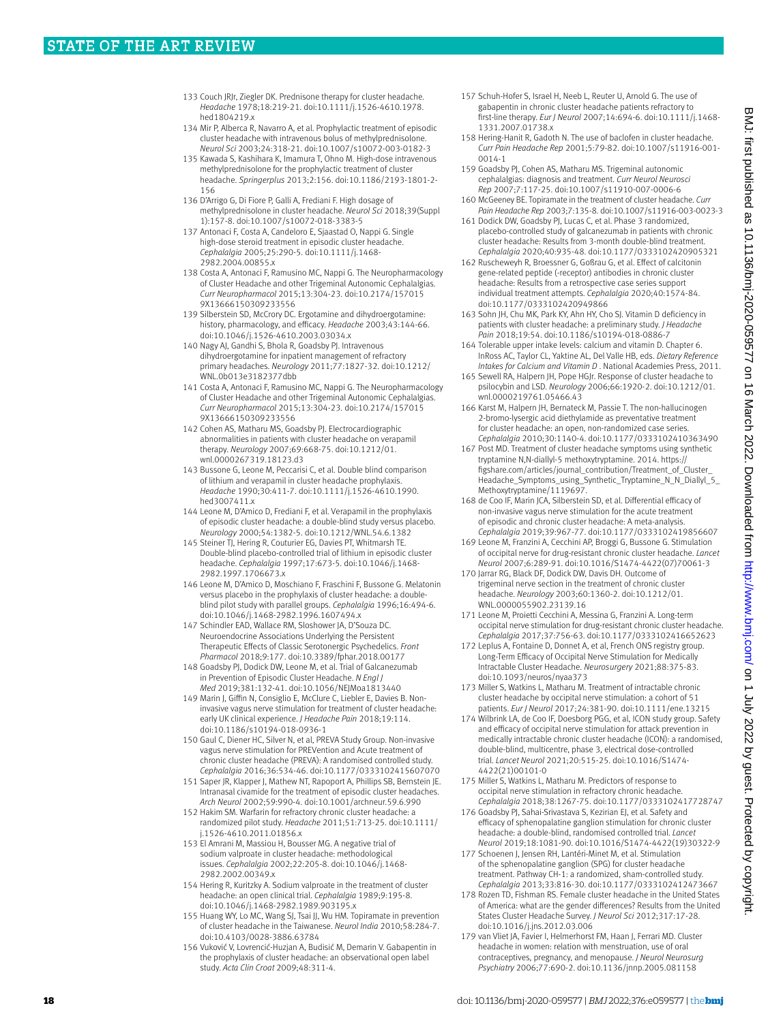- 133 Couch JRJr, Ziegler DK. Prednisone therapy for cluster headache. *Headache* 1978;18:219-21. doi:10.1111/j.1526-4610.1978. hed1804219.x
- 134 Mir P, Alberca R, Navarro A, et al. Prophylactic treatment of episodic cluster headache with intravenous bolus of methylprednisolone. *Neurol Sci* 2003;24:318-21. doi:10.1007/s10072-003-0182-3
- 135 Kawada S, Kashihara K, Imamura T, Ohno M. High-dose intravenous methylprednisolone for the prophylactic treatment of cluster headache. *Springerplus* 2013;2:156. doi:10.1186/2193-1801-2-156
- 136 D'Arrigo G, Di Fiore P, Galli A, Frediani F. High dosage of methylprednisolone in cluster headache. *Neurol Sci* 2018;39(Suppl 1):157-8. doi:10.1007/s10072-018-3383-5
- 137 Antonaci F, Costa A, Candeloro E, Sjaastad O, Nappi G. Single high-dose steroid treatment in episodic cluster headache. *Cephalalgia* 2005;25:290-5. doi:10.1111/j.1468-2982.2004.00855.x
- 138 Costa A, Antonaci F, Ramusino MC, Nappi G. The Neuropharmacology of Cluster Headache and other Trigeminal Autonomic Cephalalgias. *Curr Neuropharmacol* 2015;13:304-23. doi:10.2174/157015 9X13666150309233556
- 139 Silberstein SD, McCrory DC. Ergotamine and dihydroergotamine: history, pharmacology, and efficacy. *Headache* 2003;43:144-66. doi:10.1046/j.1526-4610.2003.03034.x
- 140 Nagy AJ, Gandhi S, Bhola R, Goadsby PJ. Intravenous dihydroergotamine for inpatient management of refractory primary headaches. *Neurology* 2011;77:1827-32. doi:10.1212/ WNL.0b013e3182377dbb
- 141 Costa A, Antonaci F, Ramusino MC, Nappi G. The Neuropharmacology of Cluster Headache and other Trigeminal Autonomic Cephalalgias. *Curr Neuropharmacol* 2015;13:304-23. doi:10.2174/157015 9X13666150309233556
- 142 Cohen AS, Matharu MS, Goadsby PJ. Electrocardiographic abnormalities in patients with cluster headache on verapamil therapy. *Neurology* 2007;69:668-75. doi:10.1212/01. wnl.0000267319.18123.d3
- 143 Bussone G, Leone M, Peccarisi C, et al. Double blind comparison of lithium and verapamil in cluster headache prophylaxis. *Headache* 1990;30:411-7. doi:10.1111/j.1526-4610.1990. hed3007411.x
- 144 Leone M, D'Amico D, Frediani F, et al. Verapamil in the prophylaxis of episodic cluster headache: a double-blind study versus placebo. *Neurology* 2000;54:1382-5. doi:10.1212/WNL.54.6.1382
- 145 Steiner TJ, Hering R, Couturier EG, Davies PT, Whitmarsh TE. Double-blind placebo-controlled trial of lithium in episodic cluster headache. *Cephalalgia* 1997;17:673-5. doi:10.1046/j.1468-2982.1997.1706673.x
- 146 Leone M, D'Amico D, Moschiano F, Fraschini F, Bussone G. Melatonin versus placebo in the prophylaxis of cluster headache: a doubleblind pilot study with parallel groups. *Cephalalgia* 1996;16:494-6. doi:10.1046/j.1468-2982.1996.1607494.x
- 147 Schindler EAD, Wallace RM, Sloshower JA, D'Souza DC. Neuroendocrine Associations Underlying the Persistent Therapeutic Effects of Classic Serotonergic Psychedelics. *Front Pharmacol* 2018;9:177. doi:10.3389/fphar.2018.00177
- 148 Goadsby PJ, Dodick DW, Leone M, et al. Trial of Galcanezumab in Prevention of Episodic Cluster Headache. *N Engl J Med* 2019;381:132-41. doi:10.1056/NEJMoa1813440
- 149 Marin J, Giffin N, Consiglio E, McClure C, Liebler E, Davies B. Noninvasive vagus nerve stimulation for treatment of cluster headache: early UK clinical experience. *J Headache Pain* 2018;19:114. doi:10.1186/s10194-018-0936-1
- 150 Gaul C, Diener HC, Silver N, et al, PREVA Study Group. Non-invasive vagus nerve stimulation for PREVention and Acute treatment of chronic cluster headache (PREVA): A randomised controlled study. *Cephalalgia* 2016;36:534-46. doi:10.1177/0333102415607070
- 151 Saper JR, Klapper J, Mathew NT, Rapoport A, Phillips SB, Bernstein JE. Intranasal civamide for the treatment of episodic cluster headaches. *Arch Neurol* 2002;59:990-4. doi:10.1001/archneur.59.6.990
- 152 Hakim SM. Warfarin for refractory chronic cluster headache: a randomized pilot study. *Headache* 2011;51:713-25. doi:10.1111/ j.1526-4610.2011.01856.x
- 153 El Amrani M, Massiou H, Bousser MG. A negative trial of sodium valproate in cluster headache: methodological issues. *Cephalalgia* 2002;22:205-8. doi:10.1046/j.1468-2982.2002.00349.x
- 154 Hering R, Kuritzky A. Sodium valproate in the treatment of cluster headache: an open clinical trial. *Cephalalgia* 1989;9:195-8. doi:10.1046/j.1468-2982.1989.903195.x
- 155 Huang WY, Lo MC, Wang SJ, Tsai JJ, Wu HM. Topiramate in prevention of cluster headache in the Taiwanese. *Neurol India* 2010;58:284-7. doi:10.4103/0028-3886.63784
- 156 Vuković V, Lovrencić-Huzjan A, Budisić M, Demarin V. Gabapentin in the prophylaxis of cluster headache: an observational open label study. *Acta Clin Croat* 2009;48:311-4.
- 157 Schuh-Hofer S, Israel H, Neeb L, Reuter U, Arnold G. The use of gabapentin in chronic cluster headache patients refractory to first-line therapy. *Eur J Neurol* 2007;14:694-6. doi:10.1111/j.1468-1331.2007.01738.x
- 158 Hering-Hanit R, Gadoth N. The use of baclofen in cluster headache. *Curr Pain Headache Rep* 2001;5:79-82. doi:10.1007/s11916-001-0014-1
- 159 Goadsby PJ, Cohen AS, Matharu MS. Trigeminal autonomic cephalalgias: diagnosis and treatment. *Curr Neurol Neurosci Rep* 2007;7:117-25. doi:10.1007/s11910-007-0006-6
- 160 McGeeney BE. Topiramate in the treatment of cluster headache. *Curr Pain Headache Rep* 2003;7:135-8. doi:10.1007/s11916-003-0023-3
- 161 Dodick DW, Goadsby PJ, Lucas C, et al. Phase 3 randomized, placebo-controlled study of galcanezumab in patients with chronic cluster headache: Results from 3-month double-blind treatment. *Cephalalgia* 2020;40:935-48. doi:10.1177/0333102420905321
- 162 Ruscheweyh R, Broessner G, Goßrau G, et al. Effect of calcitonin gene-related peptide (-receptor) antibodies in chronic cluster headache: Results from a retrospective case series support individual treatment attempts. *Cephalalgia* 2020;40:1574-84. doi:10.1177/0333102420949866
- 163 Sohn JH, Chu MK, Park KY, Ahn HY, Cho SJ. Vitamin D deficiency in patients with cluster headache: a preliminary study. *J Headache Pain* 2018;19:54. doi:10.1186/s10194-018-0886-7
- 164 Tolerable upper intake levels: calcium and vitamin D. Chapter 6. InRoss AC, Taylor CL, Yaktine AL, Del Valle HB, eds. *Dietary Reference Intakes for Calcium and Vitamin D* . National Academies Press, 2011.
- 165 Sewell RA, Halpern JH, Pope HGJr. Response of cluster headache to psilocybin and LSD. *Neurology* 2006;66:1920-2. doi:10.1212/01. wnl.0000219761.05466.43
- 166 Karst M, Halpern JH, Bernateck M, Passie T. The non-hallucinogen 2-bromo-lysergic acid diethylamide as preventative treatment for cluster headache: an open, non-randomized case series. *Cephalalgia* 2010;30:1140-4. doi:10.1177/0333102410363490
- 167 Post MD. Treatment of cluster headache symptoms using synthetic tryptamine N,N-diallyl-5 methoxytryptamine. 2014. [https://](https://figshare.com/articles/journal_contribution/Treatment_of_Cluster_Headache_Symptoms_using_Synthetic_Tryptamine_N_N_Diallyl_5_Methoxytryptamine/1119697) [figshare.com/articles/journal\\_contribution/Treatment\\_of\\_Cluster\\_](https://figshare.com/articles/journal_contribution/Treatment_of_Cluster_Headache_Symptoms_using_Synthetic_Tryptamine_N_N_Diallyl_5_Methoxytryptamine/1119697) [Headache\\_Symptoms\\_using\\_Synthetic\\_Tryptamine\\_N\\_N\\_Diallyl\\_5\\_](https://figshare.com/articles/journal_contribution/Treatment_of_Cluster_Headache_Symptoms_using_Synthetic_Tryptamine_N_N_Diallyl_5_Methoxytryptamine/1119697) [Methoxytryptamine/1119697](https://figshare.com/articles/journal_contribution/Treatment_of_Cluster_Headache_Symptoms_using_Synthetic_Tryptamine_N_N_Diallyl_5_Methoxytryptamine/1119697).
- 168 de Coo IF, Marin JCA, Silberstein SD, et al. Differential efficacy of non-invasive vagus nerve stimulation for the acute treatment of episodic and chronic cluster headache: A meta-analysis. *Cephalalgia* 2019;39:967-77. doi:10.1177/0333102419856607
- 169 Leone M, Franzini A, Cecchini AP, Broggi G, Bussone G. Stimulation of occipital nerve for drug-resistant chronic cluster headache. *Lancet Neurol* 2007;6:289-91. doi:10.1016/S1474-4422(07)70061-3
- 170 Jarrar RG, Black DF, Dodick DW, Davis DH, Outcome of trigeminal nerve section in the treatment of chronic cluster headache. *Neurology* 2003;60:1360-2. doi:10.1212/01. WNL.0000055902.23139.16
- 171 Leone M, Proietti Cecchini A, Messina G, Franzini A. Long-term occipital nerve stimulation for drug-resistant chronic cluster headache. *Cephalalgia* 2017;37:756-63. doi:10.1177/0333102416652623
- 172 Leplus A, Fontaine D, Donnet A, et al, French ONS registry group. Long-Term Efficacy of Occipital Nerve Stimulation for Medically Intractable Cluster Headache. *Neurosurgery* 2021;88:375-83. doi:10.1093/neuros/nyaa373
- 173 Miller S, Watkins L, Matharu M. Treatment of intractable chronic cluster headache by occipital nerve stimulation: a cohort of 51 patients. *Eur J Neurol* 2017;24:381-90. doi:10.1111/ene.13215
- 174 Wilbrink LA, de Coo IF, Doesborg PGG, et al, ICON study group. Safety and efficacy of occipital nerve stimulation for attack prevention in medically intractable chronic cluster headache (ICON): a randomised, double-blind, multicentre, phase 3, electrical dose-controlled trial. *Lancet Neurol* 2021;20:515-25. doi:10.1016/S1474-4422(21)00101-0
- 175 Miller S, Watkins L, Matharu M. Predictors of response to occipital nerve stimulation in refractory chronic headache. *Cephalalgia* 2018;38:1267-75. doi:10.1177/0333102417728747
- 176 Goadsby PJ, Sahai-Srivastava S, Kezirian EJ, et al. Safety and efficacy of sphenopalatine ganglion stimulation for chronic cluster headache: a double-blind, randomised controlled trial. *Lancet Neurol* 2019;18:1081-90. doi:10.1016/S1474-4422(19)30322-9
- 177 Schoenen J, Jensen RH, Lantéri-Minet M, et al. Stimulation of the sphenopalatine ganglion (SPG) for cluster headache treatment. Pathway CH-1: a randomized, sham-controlled study. *Cephalalgia* 2013;33:816-30. doi:10.1177/0333102412473667
- 178 Rozen TD, Fishman RS. Female cluster headache in the United States of America: what are the gender differences? Results from the United States Cluster Headache Survey. *J Neurol Sci* 2012;317:17-28. doi:10.1016/j.jns.2012.03.006
- 179 van Vliet JA, Favier I, Helmerhorst FM, Haan J, Ferrari MD. Cluster headache in women: relation with menstruation, use of oral contraceptives, pregnancy, and menopause. *J Neurol Neurosurg Psychiatry* 2006;77:690-2. doi:10.1136/jnnp.2005.081158